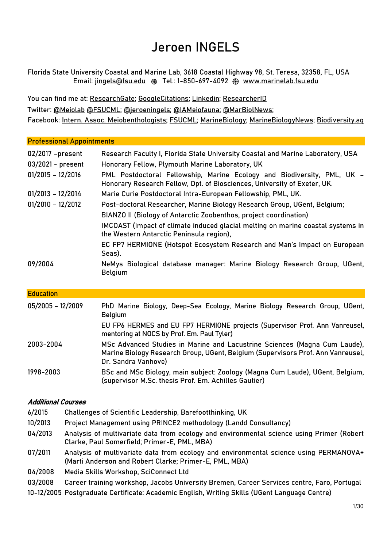# Jeroen INGELS

Florida State University Coastal and Marine Lab, 3618 Coastal Highway 98, St. Teresa, 32358, FL, USA Email: [jingels@fsu.edu](mailto:jingels@fsu.edu) ֍ Tel.: 1-850-697-4092 ֍ [www.marinelab.fsu.edu](http://www.marinelab.fsu.edu/)

You can find me at: [ResearchGate;](https://www.researchgate.net/profile/Jeroen_Ingels) [GoogleCitations;](https://scholar.google.co.uk/citations?user=sADhdYsAAAAJ&hl=en) [Linkedin;](https://www.linkedin.com/in/jeroen-ingels-97105325/) [ResearcherID](http://www.researcherid.com/rid/A-1691-2008) Twitter: [@Meiolab](https://twitter.com/meiolab?lang=en) [@FSUCML;](https://twitter.com/FSUCML) [@jeroeningels;](https://twitter.com/jeroeningels) [@IAMeiofauna;](https://twitter.com/iameiofauna) [@MarBiolNews;](https://twitter.com/MarBiolNews) Facebook: [Intern. Assoc. Meiobenthologists;](https://www.facebook.com/InternationalAssociationofMeiobenthologists/) [FSUCML;](https://www.facebook.com/FSUCML/) [MarineBiology;](https://www.facebook.com/CrystalBlueAquariums) [MarineBiologyNews;](https://www.facebook.com/MarineBiologyNews/) [Biodiversity.aq](https://www.facebook.com/biodiversityaq/)

| <b>Professional Appointments</b>      |                                                                                                                                                                                     |
|---------------------------------------|-------------------------------------------------------------------------------------------------------------------------------------------------------------------------------------|
| 02/2017 -present<br>03/2021 - present | Research Faculty I, Florida State University Coastal and Marine Laboratory, USA<br>Honorary Fellow, Plymouth Marine Laboratory, UK                                                  |
| $01/2015 - 12/2016$                   | PML Postdoctoral Fellowship, Marine Ecology and Biodiversity, PML, UK -<br>Honorary Research Fellow, Dpt. of Biosciences, University of Exeter, UK.                                 |
| $01/2013 - 12/2014$                   | Marie Curie Postdoctoral Intra-European Fellowship, PML, UK.                                                                                                                        |
| $01/2010 - 12/2012$                   | Post-doctoral Researcher, Marine Biology Research Group, UGent, Belgium;<br>BIANZO II (Biology of Antarctic Zoobenthos, project coordination)                                       |
|                                       | IMCOAST (Impact of climate induced glacial melting on marine coastal systems in<br>the Western Antarctic Peninsula region),                                                         |
|                                       | EC FP7 HERMIONE (Hotspot Ecosystem Research and Man's Impact on European<br>Seas).                                                                                                  |
| 09/2004                               | NeMys Biological database manager: Marine Biology Research Group, UGent,<br><b>Belgium</b>                                                                                          |
| <b>Education</b>                      |                                                                                                                                                                                     |
| $05/2005 - 12/2009$                   | PhD Marine Biology, Deep-Sea Ecology, Marine Biology Research Group, UGent,<br><b>Belgium</b>                                                                                       |
|                                       | EU FP6 HERMES and EU FP7 HERMIONE projects (Supervisor Prof. Ann Vanreusel,<br>mentoring at NOCS by Prof. Em. Paul Tyler)                                                           |
| 2003-2004                             | MSc Advanced Studies in Marine and Lacustrine Sciences (Magna Cum Laude),<br>Marine Biology Research Group, UGent, Belgium (Supervisors Prof. Ann Vanreusel,<br>Dr. Sandra Vanhove) |

1998-2003 BSc and MSc Biology, main subject: Zoology (Magna Cum Laude), UGent, Belgium, (supervisor M.Sc. thesis Prof. Em. Achilles Gautier)

# Additional Courses

- 6/2015 Challenges of Scientific Leadership, Barefootthinking, UK
- 10/2013 Project Management using PRINCE2 methodology (Landd Consultancy)
- 04/2013 Analysis of multivariate data from ecology and environmental science using Primer (Robert Clarke, Paul Somerfield; Primer-E, PML, MBA)
- 07/2011 Analysis of multivariate data from ecology and environmental science using PERMANOVA+ (Marti Anderson and Robert Clarke; Primer-E, PML, MBA)
- 04/2008 Media Skills Workshop, SciConnect Ltd
- 03/2008 Career training workshop, Jacobs University Bremen, Career Services centre, Faro, Portugal
- 10-12/2005 Postgraduate Certificate: Academic English, Writing Skills (UGent Language Centre)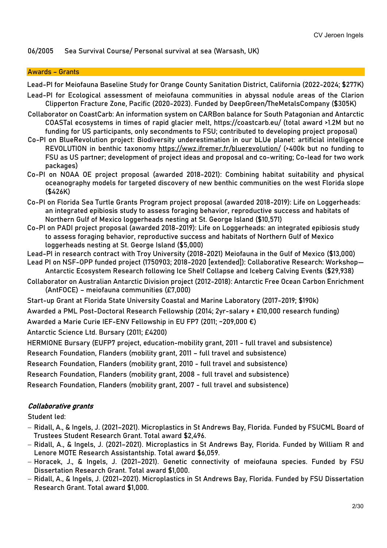# 06/2005 Sea Survival Course/ Personal survival at sea (Warsash, UK)

#### Awards – Grants

Lead-PI for Meiofauna Baseline Study for Orange County Sanitation District, California (2022-2024; \$277K)

- Lead-PI for Ecological assessment of meiofauna communities in abyssal nodule areas of the Clarion Clipperton Fracture Zone, Pacific (2020-2023). Funded by DeepGreen/TheMetalsCompany (\$305K)
- Collaborator on CoastCarb: An information system on CARBon balance for South Patagonian and Antarctic COASTal ecosystems in times of rapid glacier melt, https://coastcarb.eu/ (total award >1.2M but no funding for US participants, only secondments to FSU; contributed to developing project proposal)
- Co-PI on BlueRevolution project: Biodiversity underestimation in our bLUe planet: artificial intelligence REVOLUTION in benthic taxonomy<https://wwz.ifremer.fr/bluerevolution/> (>400k but no funding to FSU as US partner; development of project ideas and proposal and co-writing; Co-lead for two work packages)
- Co-PI on NOAA OE project proposal (awarded 2018-2021): Combining habitat suitability and physical oceanography models for targeted discovery of new benthic communities on the west Florida slope (\$426K)
- Co-PI on Florida Sea Turtle Grants Program project proposal (awarded 2018-2019): Life on Loggerheads: an integrated epibiosis study to assess foraging behavior, reproductive success and habitats of Northern Gulf of Mexico loggerheads nesting at St. George Island (\$10,571)
- Co-PI on PADI project proposal (awarded 2018-2019): Life on Loggerheads: an integrated epibiosis study to assess foraging behavior, reproductive success and habitats of Northern Gulf of Mexico loggerheads nesting at St. George Island (\$5,000)
- Lead-PI in research contract with Troy University (2018-2021) Meiofauna in the Gulf of Mexico (\$13,000)
- Lead PI on NSF-OPP funded project (1750903; 2018-2020 [extended]): Collaborative Research: Workshop— Antarctic Ecosystem Research following Ice Shelf Collapse and Iceberg Calving Events (\$29,938)
- Collaborator on Australian Antarctic Division project (2012-2018): Antarctic Free Ocean Carbon Enrichment (AntFOCE) – meiofauna communities (£7,000)
- Start-up Grant at Florida State University Coastal and Marine Laboratory (2017-2019; \$190k)
- Awarded a PML Post-Doctoral Research Fellowship (2014; 2yr-salary + £10,000 research funding)
- Awarded a Marie Curie IEF-ENV Fellowship in EU FP7 (2011; ~209,000 €)

Antarctic Science Ltd. Bursary (2011; £4200)

HERMIONE Bursary (EUFP7 project, education-mobility grant, 2011 - full travel and subsistence)

Research Foundation, Flanders (mobility grant, 2011 – full travel and subsistence)

Research Foundation, Flanders (mobility grant, 2010 - full travel and subsistence)

Research Foundation, Flanders (mobility grant, 2008 - full travel and subsistence)

Research Foundation, Flanders (mobility grant, 2007 - full travel and subsistence)

# Collaborative grants

Student led:

- − Ridall, A., & Ingels, J. (2021–2021). Microplastics in St Andrews Bay, Florida. Funded by FSUCML Board of Trustees Student Research Grant. Total award \$2,496.
- − Ridall, A., & Ingels, J. (2021–2021). Microplastics in St Andrews Bay, Florida. Funded by William R and Lenore MOTE Research Assistantship. Total award \$6,059.
- − Horacek, J., & Ingels, J. (2021–2021). Genetic connectivity of meiofauna species. Funded by FSU Dissertation Research Grant. Total award \$1,000.
- − Ridall, A., & Ingels, J. (2021–2021). Microplastics in St Andrews Bay, Florida. Funded by FSU Dissertation Research Grant. Total award \$1,000.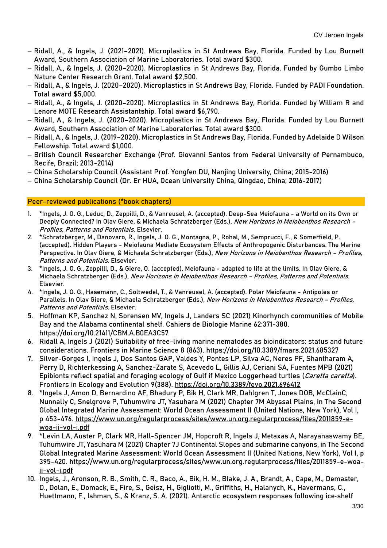- − Ridall, A., & Ingels, J. (2021–2021). Microplastics in St Andrews Bay, Florida. Funded by Lou Burnett Award, Southern Association of Marine Laboratories. Total award \$300.
- − Ridall, A., & Ingels, J. (2020–2020). Microplastics in St Andrews Bay, Florida. Funded by Gumbo Limbo Nature Center Research Grant. Total award \$2,500.
- − Ridall, A., & Ingels, J. (2020–2020). Microplastics in St Andrews Bay, Florida. Funded by PADI Foundation. Total award \$5,000.
- − Ridall, A., & Ingels, J. (2020–2020). Microplastics in St Andrews Bay, Florida. Funded by William R and Lenore MOTE Research Assistantship. Total award \$6,790.
- − Ridall, A., & Ingels, J. (2020–2020). Microplastics in St Andrews Bay, Florida. Funded by Lou Burnett Award, Southern Association of Marine Laboratories. Total award \$300.
- − Ridall, A., & Ingels, J. (2019–2020). Microplastics in St Andrews Bay, Florida. Funded by Adelaide D Wilson Fellowship. Total award \$1,000.
- − British Council Researcher Exchange (Prof. Giovanni Santos from Federal University of Pernambuco, Recife, Brazil; 2013-2014)
- − China Scholarship Council (Assistant Prof. Yongfen DU, Nanjing University, China; 2015-2016)
- − China Scholarship Council (Dr. Er HUA, Ocean University China, Qingdao, China; 2016-2017)

# Peer-reviewed publications (\*book chapters)

- 1. \*Ingels, J. O. G., Leduc, D., Zeppilli, D., & Vanreusel, A. (accepted). Deep-Sea Meiofauna a World on its Own or Deeply Connected? In Olav Giere, & Michaela Schratzberger (Eds.), New Horizons in Meiobenthos Research -Profiles, Patterns and Potentials. Elsevier.
- 2. \*Schratzberger, M., Danovaro, R., Ingels, J. O. G., Montagna, P., Rohal, M., Semprucci, F., & Somerfield, P. (accepted). Hidden Players - Meiofauna Mediate Ecosystem Effects of Anthropogenic Disturbances. The Marine Perspective. In Olav Giere, & Michaela Schratzberger (Eds.), New Horizons in Meiobenthos Research - Profiles, Patterns and Potentials. Elsevier.
- 3. \*Ingels, J. O. G., Zeppilli, D., & Giere, O. (accepted). Meiofauna adapted to life at the limits. In Olav Giere, & Michaela Schratzberger (Eds.), New Horizons in Meiobenthos Research - Profiles, Patterns and Potentials. Elsevier.
- 4. \*Ingels, J. O. G., Hasemann, C., Soltwedel, T., & Vanreusel, A. (accepted). Polar Meiofauna Antipoles or Parallels. In Olav Giere, & Michaela Schratzberger (Eds.), New Horizons in Meiobenthos Research - Profiles, Patterns and Potentials. Elsevier.
- 5. Hoffman KP, Sanchez N, Sorensen MV, Ingels J, Landers SC (2021) Kinorhynch communities of Mobile Bay and the Alabama continental shelf. Cahiers de Biologie Marine 62:371-380. <https://doi.org/10.21411/CBM.A.B0EA3C57>
- 6. Ridall A, Ingels J (2021) Suitability of free-living marine nematodes as bioindicators: status and future considerations. Frontiers in Marine Science 8 (863).<https://doi.org/10.3389/fmars.2021.685327>
- 7. Silver-Gorges I, Ingels J, Dos Santos GAP, Valdes Y, Pontes LP, Silva AC, Neres PF, Shantharam A, Perry D, Richterkessing A, Sanchez-Zarate S, Acevedo L, Gillis AJ, Ceriani SA, Fuentes MPB (2021) Epibionts reflect spatial and foraging ecology of Gulf if Mexico Loggerhead turtles (Caretta caretta). Frontiers in Ecology and Evolution 9(388).<https://doi.org/10.3389/fevo.2021.696412>
- 8. \*Ingels J, Amon D, Bernardino AF, Bhadury P, Bik H, Clark MR, Dahlgren T, Jones DOB, McClainC, Nunnally C, Snelgrove P, Tuhumwire JT, Yasuhara M (2021) Chapter 7M Abyssal Plains, in The Second Global Integrated Marine Assessment: World Ocean Assessment II (United Nations, New York), Vol I, p 453-476. [https://www.un.org/regularprocess/sites/www.un.org.regularprocess/files/2011859-e](https://www.un.org/regularprocess/sites/www.un.org.regularprocess/files/2011859-e-woa-ii-vol-i.pdf)[woa-ii-vol-i.pdf](https://www.un.org/regularprocess/sites/www.un.org.regularprocess/files/2011859-e-woa-ii-vol-i.pdf)
- 9. \*Levin LA, Auster P, Clark MR, Hall-Spencer JM, Hopcroft R, Ingels J, Metaxas A, Narayanaswamy BE, Tuhumwire JT, Yasuhara M (2021) Chapter 7J Continental Slopes and submarine canyons, in The Second Global Integrated Marine Assessment: World Ocean Assessment II (United Nations, New York), Vol I, p 395-420. [https://www.un.org/regularprocess/sites/www.un.org.regularprocess/files/2011859-e-woa](https://www.un.org/regularprocess/sites/www.un.org.regularprocess/files/2011859-e-woa-ii-vol-i.pdf)[ii-vol-i.pdf](https://www.un.org/regularprocess/sites/www.un.org.regularprocess/files/2011859-e-woa-ii-vol-i.pdf)
- 10. Ingels, J., Aronson, R. B., Smith, C. R., Baco, A., Bik, H. M., Blake, J. A., Brandt, A., Cape, M., Demaster, D., Dolan, E., Domack, E., Fire, S., Geisz, H., Gigliotti, M., Griffiths, H., Halanych, K., Havermans, C., Huettmann, F., Ishman, S., & Kranz, S. A. (2021). Antarctic ecosystem responses following ice‐shelf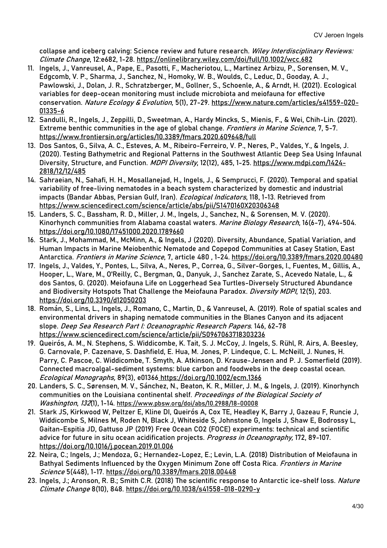collapse and iceberg calving: Science review and future research. Wiley Interdisciplinary Reviews: Climate Change, 12:e682, 1-28.<https://onlinelibrary.wiley.com/doi/full/10.1002/wcc.682>

- 11. Ingels, J., Vanreusel, A., Pape, E., Pasotti, F., Macheriotou, L., Martinez Arbizu, P., Sorensen, M. V., Edgcomb, V. P., Sharma, J., Sanchez, N., Homoky, W. B., Woulds, C., Leduc, D., Gooday, A. J., Pawlowski, J., Dolan, J. R., Schratzberger, M., Gollner, S., Schoenle, A., & Arndt, H. (2021). Ecological variables for deep-ocean monitoring must include microbiota and meiofauna for effective conservation. Nature Ecology & Evolution, 5(1), 27-29. [https://www.nature.com/articles/s41559-020-](https://www.nature.com/articles/s41559-020-01335-6) [01335-6](https://www.nature.com/articles/s41559-020-01335-6)
- 12. Sandulli, R., Ingels, J., Zeppilli, D., Sweetman, A., Hardy Mincks, S., Mienis, F., & Wei, Chih-Lin. (2021). Extreme benthic communities in the age of global change. Frontiers in Marine Science, 7, 5-7. <https://www.frontiersin.org/articles/10.3389/fmars.2020.609648/full>
- 13. Dos Santos, G., Silva, A. C., Esteves, A. M., Ribeiro-Ferreiro, V. P., Neres, P., Valdes, Y., & Ingels, J. (2020). Testing Bathymetric and Regional Patterns in the Southwest Atlantic Deep Sea Using Infaunal Diversity, Structure, and Function. MDPI Diversity, 12(12), 485, 1-25. [https://www.mdpi.com/1424-](https://www.mdpi.com/1424-2818/12/12/485) [2818/12/12/485](https://www.mdpi.com/1424-2818/12/12/485)
- 14. Sahraeian, N., Sahafi, H. H., Mosallanejad, H., Ingels, J., & Semprucci, F. (2020). Temporal and spatial variability of free-living nematodes in a beach system characterized by domestic and industrial impacts (Bandar Abbas, Persian Gulf, Iran). *Ecological Indicators*, 118, 1-13. Retrieved from <https://www.sciencedirect.com/science/article/abs/pii/S1470160X20306348>
- 15. Landers, S. C., Bassham, R. D., Miller, J. M., Ingels, J., Sanchez, N., & Sorensen, M. V. (2020). Kinorhynch communities from Alabama coastal waters. Marine Biology Research, 16(6-7), 494-504. <https://doi.org/10.1080/17451000.2020.1789660>
- 16. Stark, J., Mohammad, M., McMinn, A., & Ingels, J (2020). Diversity, Abundance, Spatial Variation, and Human Impacts in Marine Meiobenthic Nematode and Copepod Communities at Casey Station, East Antarctica. Frontiers in Marine Science, 7, article 480 , 1-24.<https://doi.org/10.3389/fmars.2020.00480>
- 17. Ingels, J., Valdes, Y., Pontes, L., Silva, A., Neres, P., Correa, G., Silver-Gorges, I., Fuentes, M., Gillis, A., Hooper, L., Ware, M., O'Reilly, C., Bergman, Q., Danyuk, J., Sanchez Zarate, S., Acevedo Natale, L., & dos Santos, G. (2020). Meiofauna Life on Loggerhead Sea Turtles-Diversely Structured Abundance and Biodiversity Hotspots That Challenge the Meiofauna Paradox. Diversity MDPI, 12(5), 203. <https://doi.org/10.3390/d12050203>
- 18. Román, S., Lins, L., Ingels, J., Romano, C., Martin, D., & Vanreusel, A. (2019). Role of spatial scales and environmental drivers in shaping nematode communities in the Blanes Canyon and its adjacent slope. Deep Sea Research Part I: Oceanographic Research Papers. 146, 62-78 <https://www.sciencedirect.com/science/article/pii/S0967063718303236>
- 19. Queirós, A. M., N. Stephens, S. Widdicombe, K. Tait, S. J. McCoy, J. Ingels, S. Rühl, R. Airs, A. Beesley, G. Carnovale, P. Cazenave, S. Dashfield, E. Hua, M. Jones, P. Lindeque, C. L. McNeill, J. Nunes, H. Parry, C. Pascoe, C. Widdicombe, T. Smyth, A. Atkinson, D. Krause-Jensen and P. J. Somerfield (2019). Connected macroalgal-sediment systems: blue carbon and foodwebs in the deep coastal ocean. Ecological Monographs, 89(3), e01366 <https://doi.org/10.1002/ecm.1366>
- 20. Landers, S. C., Sørensen, M. V., Sánchez, N., Beaton, K. R., Miller, J. M., & Ingels, J. (2019). Kinorhynch communities on the Louisiana continental shelf. Proceedings of the Biological Society of Washington, 132(1), 1-14.<https://www.pbsw.org/doi/abs/10.2988/18-00008>
- 21. Stark JS, Kirkwood W, Peltzer E, Kline DI, Queirós A, Cox TE, Headley K, Barry J, Gazeau F, Runcie J, Widdicombe S, Milnes M, Roden N, Black J, Whiteside S, Johnstone G, Ingels J, Shaw E, Bodrossy L, Gaitan-Espitia JD, Gattuso JP (2019) Free Ocean CO2 (FOCE) experiments: technical and scientific advice for future in situ ocean acidification projects. Progress in Oceanography, 172, 89-107. <https://doi.org/10.1016/j.pocean.2019.01.006>
- 22. Neira, C.; Ingels, J.; Mendoza, G.; Hernandez-Lopez, E.; Levin, L.A. (2018) Distribution of Meiofauna in Bathyal Sediments Influenced by the Oxygen Minimum Zone off Costa Rica. Frontiers in Marine Science 5(448), 1-17. <https://doi.org/10.3389/fmars.2018.00448>
- 23. Ingels, J.; Aronson, R. B.; Smith C.R. (2018) The scientific response to Antarctic ice-shelf loss. Nature Climate Change 8(10), 848. <https://doi.org/10.1038/s41558-018-0290-y>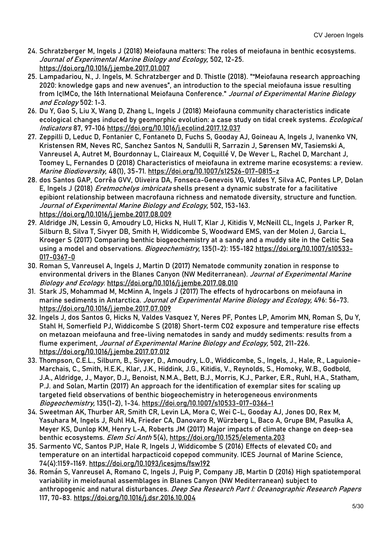- 24. Schratzberger M, Ingels J (2018) Meiofauna matters: The roles of meiofauna in benthic ecosystems. Journal of Experimental Marine Biology and Ecology, 502, 12-25. <https://doi.org/10.1016/j.jembe.2017.01.007>
- 25. Lampadariou, N., J. Ingels, M. Schratzberger and D. Thistle (2018). ""Meiofauna research approaching 2020: knowledge gaps and new avenues", an introduction to the special meiofauna issue resulting from IçIMCo, the 16th International Meiofauna Conference." Journal of Experimental Marine Biology and Ecology 502: 1-3.
- 26. Du Y, Gao S, Liu X, Wang D, Zhang L, Ingels J (2018) Meiofauna community characteristics indicate ecological changes induced by geomorphic evolution: a case study on tidal creek systems. *Ecological* Indicators 87, 97-106<https://doi.org/10.1016/j.ecolind.2017.12.037>
- 27. Zeppilli D, Leduc D, Fontanier C, Fontaneto D, Fuchs S, Gooday AJ, Goineau A, Ingels J, Ivanenko VN, Kristensen RM, Neves RC, Sanchez Santos N, Sandulli R, Sarrazin J, Sørensen MV, Tasiemski A, Vanreusel A, Autret M, Bourdonnay L, Claireaux M, Coquillé V, De Wever L, Rachel D, Marchant J, Toomey L, Fernandes D (2018) Characteristics of meiofauna in extreme marine ecosystems: a review. Marine Biodioversity, 48(1), 35-71. <https://doi.org/10.1007/s12526-017-0815-z>
- 28. dos Santos GAP, Corrêa GVV, Oliveira DA, Fonseca-Genevois VG, Valdes Y, Silva AC, Pontes LP, Dolan E, Ingels J (2018) *Eretmochelys imbricata* shells present a dynamic substrate for a facilitative epibiont relationship between macrofauna richness and nematode diversity, structure and function. Journal of Experimental Marine Biology and Ecology, 502, 153-163. <https://doi.org/10.1016/j.jembe.2017.08.009>
- 29. Aldridge JN, Lessin G, Amoudry LO, Hicks N, Hull T, Klar J, Kitidis V, McNeill CL, Ingels J, Parker R, Silburn B, Silva T, Sivyer DB, Smith H, Widdicombe S, Woodward EMS, van der Molen J, Garcia L, Kroeger S (2017) Comparing benthic biogeochemistry at a sandy and a muddy site in the Celtic Sea using a model and observations. *Biogeochemistry*, 135(1-2): 155-182 [https://doi.org/10.1007/s10533-](https://doi.org/10.1007/s10533-017-0367-0) [017-0367-0](https://doi.org/10.1007/s10533-017-0367-0)
- 30. Roman S, Vanreusel A, Ingels J, Martin D (2017) Nematode community zonation in response to environmental drivers in the Blanes Canyon (NW Mediterranean). Journal of Experimental Marine Biology and Ecology. <https://doi.org/10.1016/j.jembe.2017.08.010>
- 31. Stark JS, Mohammad M, McMinn A, Ingels J (2017) The effects of hydrocarbons on meiofauna in marine sediments in Antarctica. Journal of Experimental Marine Biology and Ecology, 496: 56-73. <https://doi.org/10.1016/j.jembe.2017.07.009>
- 32. Ingels J, dos Santos G, Hicks N, Valdes Vasquez Y, Neres PF, Pontes LP, Amorim MN, Roman S, Du Y, Stahl H, Somerfield PJ, Widdicombe S (2018) Short-term CO2 exposure and temperature rise effects on metazoan meiofauna and free-living nematodes in sandy and muddy sediments: results from a flume experiment, Journal of Experimental Marine Biology and Ecology, 502, 211-226. <https://doi.org/10.1016/j.jembe.2017.07.012>
- 33. Thompson, C.E.L., Silburn, B., Sivyer, D., Amoudry, L.O., Widdicombe, S., Ingels, J., Hale, R., Laguionie-Marchais, C., Smith, H.E.K., Klar, J.K., Hiddink, J.G., Kitidis, V., Reynolds, S., Homoky, W.B., Godbold, J.A., Aldridge, J., Mayor, D.J,, Benoist, N.M.A., Bett, B.J., Morris, K.J., Parker, E.R., Ruhl, H.A., Statham, P.J. and Solan, Martin (2017) An approach for the identification of exemplar sites for scaling up targeted field observations of benthic biogeochemistry in heterogeneous environments Biogeochemistry, 135(1-2), 1-34. <https://doi.org/10.1007/s10533-017-0366-1>
- 34. Sweetman AK, Thurber AR, Smith CR, Levin LA, Mora C, Wei C-L, Gooday AJ, Jones DO, Rex M, Yasuhara M, Ingels J, Ruhl HA, Frieder CA, Danovaro R, Würzberg L, Baco A, Grupe BM, Pasulka A, Meyer KS, Dunlop KM, Henry L-A, Roberts JM (2017) Major impacts of climate change on deep-sea benthic ecosystems. Elem Sci Anth 5(4),<https://doi.org/10.1525/elementa.203>
- 35. Sarmento VC, Santos PJP, Hale R, Ingels J, Widdicombe S (2016) Effects of elevated  $CO<sub>2</sub>$  and temperature on an intertidal harpacticoid copepod community. ICES Journal of Marine Science, 74(4):1159-1169. <https://doi.org/10.1093/icesjms/fsw192>
- 36. Román S, Vanreusel A, Romano C, Ingels J, Puig P, Company JB, Martin D (2016) High spatiotemporal variability in meiofaunal assemblages in Blanes Canyon (NW Mediterranean) subject to anthropogenic and natural disturbances. Deep Sea Research Part I: Oceanographic Research Papers 117, 70-83. <https://doi.org/10.1016/j.dsr.2016.10.004>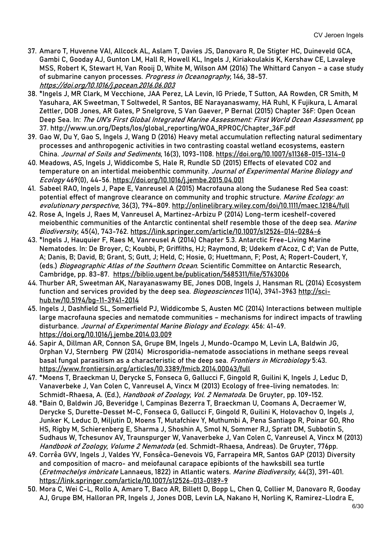- 37. Amaro T, Huvenne VAI, Allcock AL, Aslam T, Davies JS, Danovaro R, De Stigter HC, Duineveld GCA, Gambi C, Gooday AJ, Gunton LM, Hall R, Howell KL, Ingels J, Kiriakoulakis K, Kershaw CE, Lavaleye MSS, Robert K, Stewart H, Van Rooij D, White M, Wilson AM (2016) The Whittard Canyon – a case study of submarine canyon processes. Progress in Oceanography, 146, 38-57. <https://doi.org/10.1016/j.pocean.2016.06.003>
- 38. \*Ingels J, MR Clark, M Vecchione, JAA Perez, LA Levin, IG Priede, T Sutton, AA Rowden, CR Smith, M Yasuhara, AK Sweetman, T Soltwedel, R Santos, BE Narayanaswamy, HA Ruhl, K Fujikura, L Amaral Zettler, DOB Jones, AR Gates, P Snelgrove, S Van Gaever, P Bernal (2015) Chapter 36F: Open Ocean Deep Sea. In: The UN's First Global Integrated Marine Assessment: First World Ocean Assessment, pp 37. [http://www.un.org/Depts/los/global\\_reporting/WOA\\_RPROC/Chapter\\_36F.pdf](http://www.un.org/Depts/los/global_reporting/WOA_RPROC/Chapter_36F.pdf)
- 39. Gao W, Du Y, Gao S, Ingels J, Wang D (2016) Heavy metal accumulation reflecting natural sedimentary processes and anthropogenic activities in two contrasting coastal wetland ecosystems, eastern China. Journal of Soils and Sediments, 16(3), 1093-1108.<https://doi.org/10.1007/s11368-015-1314-0>
- 40. Meadows, AS, Ingels J, Widdicombe S, Hale R, Rundle SD (2015) Effects of elevated CO2 and temperature on an intertidal meiobenthic community. Journal of Experimental Marine Biology and Ecology 469(0), 44-56. <https://doi.org/10.1016/j.jembe.2015.04.001>
- 41. Sabeel RAO, Ingels J, Pape E, Vanreusel A (2015) Macrofauna along the Sudanese Red Sea coast: potential effect of mangrove clearance on community and trophic structure. Marine Ecology: an evolutionary perspective, 36(3), 794–809.<http://onlinelibrary.wiley.com/doi/10.1111/maec.12184/full>
- 42. Rose A, Ingels J, Raes M, Vanreusel A, Martinez-Arbizu P (2014) Long-term iceshelf-covered meiobenthic communities of the Antarctic continental shelf resemble those of the deep sea. Marine Biodiversity, 45(4), 743-762. <https://link.springer.com/article/10.1007/s12526-014-0284-6>
- 43. \*Ingels J, Hauquier F, Raes M, Vanreusel A (2014) Chapter 5.3. Antarctic Free-Living Marine Nematodes. In: De Broyer, C; Koubbi, P; Griffiths, HJ; Raymond, B; Udekem d'Acoz, C d'; Van de Putte, A; Danis, B; David, B; Grant, S; Gutt, J; Held, C; Hosie, G; Huettmann, F; Post, A; Ropert-Coudert, Y, (eds.) Biogeographic Atlas of the Southern Ocean. Scientific Committee on Antarctic Research, Cambridge, pp. 83-87. <https://biblio.ugent.be/publication/5685311/file/5763006>
- 44. Thurber AR, Sweetman AK, Narayanaswamy BE, Jones DOB, Ingels J, Hansman RL (2014) Ecosystem function and services provided by the deep sea. Biogeosciences 11(14), 3941-3963 [http://sci](http://sci-hub.tw/10.5194/bg-11-3941-2014)[hub.tw/10.5194/bg-11-3941-2014](http://sci-hub.tw/10.5194/bg-11-3941-2014)
- 45. Ingels J, Dashfield SL, Somerfield PJ, Widdicombe S, Austen MC (2014) Interactions between multiple large macrofauna species and nematode communities – mechanisms for indirect impacts of trawling disturbance. Journal of Experimental Marine Biology and Ecology. 456: 41-49. <https://doi.org/10.1016/j.jembe.2014.03.009>
- 46. Sapir A, Dillman AR, Connon SA, Grupe BM, Ingels J, Mundo-Ocampo M, Levin LA, Baldwin JG, Orphan VJ, Sternberg PW (2014) Microsporidia-nematode associations in methane seeps reveal basal fungal parasitism as a characteristic of the deep sea. Frontiers in Microbiology 5:43. <https://www.frontiersin.org/articles/10.3389/fmicb.2014.00043/full>
- 47. \*Moens T, Braeckman U, Derycke S, Fonseca G, Gallucci F, Gingold R, Guilini K, Ingels J, Leduc D, Vanaverbeke J, Van Colen C, Vanreusel A, Vincx M (2013) Ecology of free-living nematodes. In: Schmidt-Rhaesa, A. (Ed.), Handbook of Zoology, Vol. 2 Nematoda. De Gruyter, pp. 109-152.
- 48. \*Bain O, Baldwin JG, Beveridge I, Campinas Bezerra T, Braeckman U, Coomans A, Decraemer W, Derycke S, Durette-Desset M-C, Fonseca G, Gallucci F, Gingold R, Guilini K, Holovachov O, Ingels J, Junker K, Leduc D, Miljutin D, Moens T, Mutafchiev Y, Muthumbi A, Pena Santiago R, Poinar GO, Rho HS, Rigby M, Schierenberg E, Sharma J, Shoshin A, Smol N, Sommer RJ, Spratt DM, Subbotin S, Sudhaus W, Tchesunov AV, Traunspurger W, Vanaverbeke J, Van Colen C, Vanreusel A, Vincx M (2013) Handbook of Zoology, Volume 2 Nematoda (ed. Schmidt-Rhaesa, Andreas). De Gruyter, 776pp.
- 49. Corrêa GVV, Ingels J, Valdes YV, Fonsêca-Genevois VG, Farrapeira MR, Santos GAP (2013) Diversity and composition of macro- and meiofaunal carapace epibionts of the hawksbill sea turtle (Eretmochelys imbricate Lannaeus, 1822) in Atlantic waters. Marine Biodiversity, 44(3), 391-401. <https://link.springer.com/article/10.1007/s12526-013-0189-9>
- 50. Mora C, Wei C-L, Rollo A, Amaro T, Baco AR, Billett D, Bopp L, Chen Q, Collier M, Danovaro R, Gooday AJ, Grupe BM, Halloran PR, Ingels J, Jones DOB, Levin LA, Nakano H, Norling K, Ramirez-Llodra E,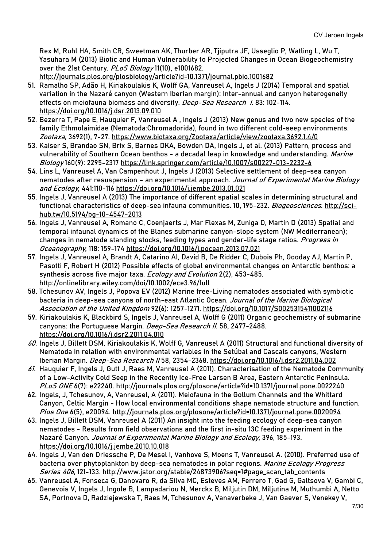Rex M, Ruhl HA, Smith CR, Sweetman AK, Thurber AR, Tjiputra JF, Usseglio P, Watling L, Wu T, Yasuhara M (2013) Biotic and Human Vulnerability to Projected Changes in Ocean Biogeochemistry over the 21st Century. PLoS Biology 11(10), e1001682. <http://journals.plos.org/plosbiology/article?id=10.1371/journal.pbio.1001682>

- 51. Ramalho SP, Adão H, Kiriakoulakis K, Wolff GA, Vanreusel A, Ingels J (2014) Temporal and spatial variation in the Nazaré canyon (Western Iberian margin): Inter-annual and canyon heterogeneity effects on meiofauna biomass and diversity. Deep-Sea Research 1. 83: 102-114. <https://doi.org/10.1016/j.dsr.2013.09.010>
- 52. Bezerra T, Pape E, Hauquier F, Vanreusel A , Ingels J (2013) New genus and two new species of the family Ethmolaimidae (Nematoda:Chromadorida), found in two different cold-seep environments. Zootaxa, 3692(1), 7-27.<https://www.biotaxa.org/Zootaxa/article/view/zootaxa.3692.1.4/0>
- 53. Kaiser S, Brandao SN, Brix S, Barnes DKA, Bowden DA, Ingels J, et al. (2013) Pattern, process and vulnerability of Southern Ocean benthos - a decadal leap in knowledge and understanding. Marine Biology 160(9): 2295-2317 <https://link.springer.com/article/10.1007/s00227-013-2232-6>
- 54. Lins L, Vanreusel A, Van Campenhout J, Ingels J (2013) Selective settlement of deep-sea canyon nematodes after resuspension - an experimental approach. Journal of Experimental Marine Biology and Ecology, 441:110-116 <https://doi.org/10.1016/j.jembe.2013.01.021>
- 55. Ingels J, Vanreusel A (2013) The importance of different spatial scales in determining structural and functional characteristics of deep-sea infauna communities. 10, 195-232. Biogeosciences. [http://sci](http://sci-hub.tw/10.5194/bg-10-4547-2013)[hub.tw/10.5194/bg-10-4547-2013](http://sci-hub.tw/10.5194/bg-10-4547-2013)
- 56. Ingels J, Vanreusel A, Romano C, Coenjaerts J, Mar Flexas M, Zuniga D, Martin D (2013) Spatial and temporal infaunal dynamics of the Blanes submarine canyon-slope system (NW Mediterranean); changes in nematode standing stocks, feeding types and gender-life stage ratios. Progress in Oceanography, 118: 159-174 <https://doi.org/10.1016/j.pocean.2013.07.021>
- 57. Ingels J, Vanreusel A, Brandt A, Catarino AI, David B, De Ridder C, Dubois Ph, Gooday AJ, Martin P, Pasotti F, Robert H (2012) Possible effects of global environmental changes on Antarctic benthos: a synthesis across five major taxa. Ecology and Evolution 2(2), 453-485. <http://onlinelibrary.wiley.com/doi/10.1002/ece3.96/full>
- 58. Tchesunov AV, Ingels J, Popova EV (2012) Marine free-Living nematodes associated with symbiotic bacteria in deep-sea canyons of north-east Atlantic Ocean. Journal of the Marine Biological Association of the United Kingdom 92(6): 1257-1271.<https://doi.org/10.1017/S0025315411002116>
- 59. Kiriakoulakis K, Blackbird S, Ingels J, Vanreusel A, Wolff G (2011) Organic geochemistry of submarine canyons: the Portuguese Margin. Deep-Sea Research II. 58, 2477-2488. <https://doi.org/10.1016/j.dsr2.2011.04.010>
- 60. Ingels J, Billett DSM, Kiriakoulakis K, Wolff G, Vanreusel A (2011) Structural and functional diversity of Nematoda in relation with environmental variables in the Setúbal and Cascais canyons, Western Iberian Margin. Deep-Sea Research // 58, 2354-2368. <https://doi.org/10.1016/j.dsr2.2011.04.002>
- 61. Hauquier F, Ingels J, Gutt J, Raes M, Vanreusel A (2011). Characterisation of the Nematode Community of a Low-Activity Cold Seep in the Recently Ice-Free Larsen B Area, Eastern Antarctic Peninsula. PLoS ONE 6(7): e22240.<http://journals.plos.org/plosone/article?id=10.1371/journal.pone.0022240>
- 62. Ingels, J, Tchesunov, A, Vanreusel, A (2011). Meiofauna in the Gollum Channels and the Whittard Canyon, Celtic Margin - How local environmental conditions shape nematode structure and function. Plos One 6(5), e20094.<http://journals.plos.org/plosone/article?id=10.1371/journal.pone.0020094>
- 63. Ingels J, Billett DSM, Vanreusel A (2011) An insight into the feeding ecology of deep-sea canyon nematodes - Results from field observations and the first in-situ 13C feeding experiment in the Nazaré Canyon. Journal of Experimental Marine Biology and Ecology, 396, 185-193. <https://doi.org/10.1016/j.jembe.2010.10.018>
- 64. Ingels J, Van den Driessche P, De Mesel I, Vanhove S, Moens T, Vanreusel A. (2010). Preferred use of bacteria over phytoplankton by deep-sea nematodes in polar regions. Marine Ecology Progress Series 406, 121-133. http://www.jstor.org/stable/24873906?seq=1#page\_scan\_tab\_contents
- 65. Vanreusel A, Fonseca G, Danovaro R, da Silva MC, Esteves AM, Ferrero T, Gad G, Galtsova V, Gambi C, Genevois V, Ingels J, Ingole B, Lampadariou N, Merckx B, Miljutin DM, Miljutina M, Muthumbi A, Netto SA, Portnova D, Radziejewska T, Raes M, Tchesunov A, Vanaverbeke J, Van Gaever S, Venekey V,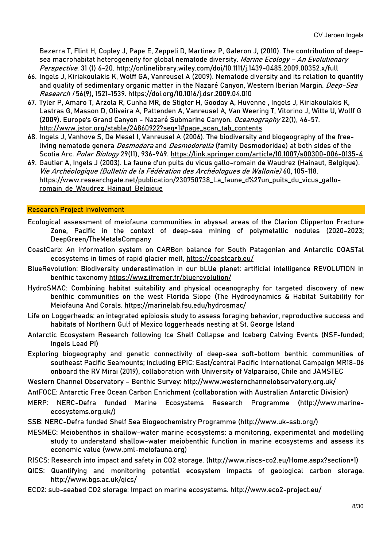Bezerra T, Flint H, Copley J, Pape E, Zeppeli D, Martinez P, Galeron J, (2010). The contribution of deepsea macrohabitat heterogeneity for global nematode diversity. Marine Ecology - An Evolutionary Perspective. 31 (1) 6-20. http://onlinelibrary.wiley.com/doi/10.1111/j.1439-0485.2009.00352.x/full

- 66. Ingels J, Kiriakoulakis K, Wolff GA, Vanreusel A (2009). Nematode diversity and its relation to quantity and quality of sedimentary organic matter in the Nazaré Canyon, Western Iberian Margin. *Deep-Sea* Research I 56(9), 1521-1539.<https://doi.org/10.1016/j.dsr.2009.04.010>
- 67. Tyler P, Amaro T, Arzola R, Cunha MR, de Stigter H, Gooday A, Huvenne , Ingels J, Kiriakoulakis K, Lastras G, Masson D, Oliveira A, Pattenden A, Vanreusel A, Van Weering T, Vitorino J, Witte U, Wolff G (2009). Europe's Grand Canyon - Nazaré Submarine Canyon. Oceanography 22(1), 46-57. [http://www.jstor.org/stable/24860922?seq=1#page\\_scan\\_tab\\_contents](http://www.jstor.org/stable/24860922?seq=1#page_scan_tab_contents)
- 68. Ingels J, Vanhove S, De Mesel I, Vanreusel A (2006). The biodiversity and biogeography of the freeliving nematode genera *Desmodora* and *Desmodorella* (family Desmodoridae) at both sides of the Scotia Arc. Polar Biology 29(11), 936-949.<https://link.springer.com/article/10.1007/s00300-006-0135-4>
- 69. Gautier A, Ingels J (2003). La faune d'un puits du vicus gallo-romain de Waudrez (Hainaut, Belgique). Vie Archéologique (Bulletin de la Fédération des Archéologues de Wallonie) 60, 105-118. [https://www.researchgate.net/publication/230750738\\_La\\_faune\\_d%27un\\_puits\\_du\\_vicus\\_gallo](https://www.researchgate.net/publication/230750738_La_faune_d%27un_puits_du_vicus_gallo-romain_de_Waudrez_Hainaut_Belgique)[romain\\_de\\_Waudrez\\_Hainaut\\_Belgique](https://www.researchgate.net/publication/230750738_La_faune_d%27un_puits_du_vicus_gallo-romain_de_Waudrez_Hainaut_Belgique)

#### Research Project Involvement

- Ecological assessment of meiofauna communities in abyssal areas of the Clarion Clipperton Fracture Zone, Pacific in the context of deep-sea mining of polymetallic nodules (2020-2023; DeepGreen/TheMetalsCompany
- CoastCarb: An information system on CARBon balance for South Patagonian and Antarctic COASTal ecosystems in times of rapid glacier melt, https://coastcarb.eu/
- BlueRevolution: Biodiversity underestimation in our bLUe planet: artificial intelligence REVOLUTION in benthic taxonomy<https://wwz.ifremer.fr/bluerevolution/>
- HydroSMAC: Combining habitat suitability and physical oceanography for targeted discovery of new benthic communities on the west Florida Slope (The Hydrodynamics & Habitat Suitability for Meiofauna And Corals.<https://marinelab.fsu.edu/hydrosmac/>
- Life on Loggerheads: an integrated epibiosis study to assess foraging behavior, reproductive success and habitats of Northern Gulf of Mexico loggerheads nesting at St. George Island
- Antarctic Ecosystem Research following Ice Shelf Collapse and Iceberg Calving Events (NSF-funded; Ingels Lead PI)
- Exploring biogeography and genetic connectivity of deep-sea soft-bottom benthic communities of southeast Pacific Seamounts; including EPIC: East/central Pacific International Campaign MR18-06 onboard the RV Mirai (2019), collaboration with University of Valparaiso, Chile and JAMSTEC
- Western Channel Observatory Benthic Survey:<http://www.westernchannelobservatory.org.uk/>
- AntFOCE: Antarctic Free Ocean Carbon Enrichment (collaboration with Australian Antarctic Division)
- MERP: NERC-Defra funded Marine Ecosystems Research Programme [\(http://www.marine](http://www.marine-ecosystems.org.uk/)[ecosystems.org.uk/\)](http://www.marine-ecosystems.org.uk/)
- SSB: NERC-Defra funded Shelf Sea Biogeochemistry Programme [\(http://www.uk-ssb.org/\)](http://www.uk-ssb.org/)
- MESMEC: Meiobenthos in shallow-water marine ecosystems: a monitoring, experimental and modelling study to understand shallow-water meiobenthic function in marine ecosystems and assess its economic value [\(www.pml-meiofauna.org\)](http://www.pml-meiofauna.org/)
- RISCS: Research into impact and safety in CO2 storage. [\(http://www.riscs-co2.eu/Home.aspx?section=1\)](http://www.riscs-co2.eu/Home.aspx?section=1)
- QICS: Quantifying and monitoring potential ecosystem impacts of geological carbon storage. <http://www.bgs.ac.uk/qics/>
- ECO2: sub-seabed CO2 storage: Impact on marine ecosystems.<http://www.eco2-project.eu/>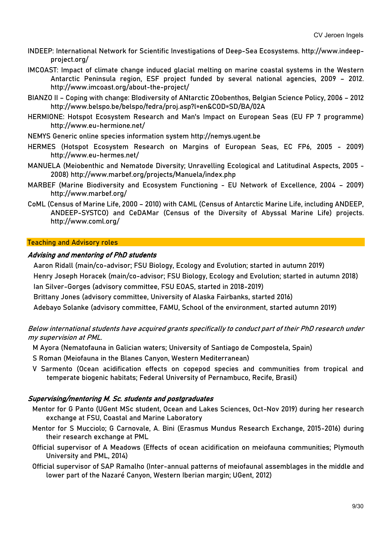- INDEEP: International Network for Scientific Investigations of Deep-Sea Ecosystems. [http://www.indeep](http://www.indeep-project.org/)[project.org/](http://www.indeep-project.org/)
- IMCOAST: Impact of climate change induced glacial melting on marine coastal systems in the Western Antarctic Peninsula region, ESF project funded by several national agencies, 2009 – 2012. <http://www.imcoast.org/about-the-project/>
- BIANZO II Coping with change: BIodiversity of ANtarctic ZOobenthos, Belgian Science Policy, 2006 2012 <http://www.belspo.be/belspo/fedra/proj.asp?l=en&COD=SD/BA/02A>
- HERMIONE: Hotspot Ecosystem Research and Man's Impact on European Seas (EU FP 7 programme) <http://www.eu-hermione.net/>
- NEMYS Generic online species information system [http://nemys.ugent.be](http://nemys.ugent.be/)
- HERMES (Hotspot Ecosystem Research on Margins of European Seas, EC FP6, 2005 2009) <http://www.eu-hermes.net/>
- MANUELA (Meiobenthic and Nematode Diversity; Unravelling Ecological and Latitudinal Aspects, 2005 2008)<http://www.marbef.org/projects/Manuela/index.php>
- MARBEF (Marine Biodiversity and Ecosystem Functioning EU Network of Excellence, 2004 2009) <http://www.marbef.org/>
- CoML (Census of Marine Life, 2000 2010) with CAML (Census of Antarctic Marine Life, including ANDEEP, ANDEEP-SYSTCO) and CeDAMar (Census of the Diversity of Abyssal Marine Life) projects. <http://www.coml.org/>

#### Teaching and Advisory roles

#### Advising and mentoring of PhD students

Aaron Ridall (main/co-advisor; FSU Biology, Ecology and Evolution; started in autumn 2019)

Henry Joseph Horacek (main/co-advisor; FSU Biology, Ecology and Evolution; started in autumn 2018) Ian Silver-Gorges (advisory committee, FSU EOAS, started in 2018-2019)

Brittany Jones (advisory committee, University of Alaska Fairbanks, started 2016)

Adebayo Solanke (advisory committee, FAMU, School of the environment, started autumn 2019)

Below international students have acquired grants specifically to conduct part of their PhD research under my supervision at PML.

- M Ayora (Nematofauna in Galician waters; University of Santiago de Compostela, Spain)
- S Roman (Meiofauna in the Blanes Canyon, Western Mediterranean)
- V Sarmento (Ocean acidification effects on copepod species and communities from tropical and temperate biogenic habitats; Federal University of Pernambuco, Recife, Brasil)

#### Supervising/mentoring M. Sc. students and postgraduates

- Mentor for G Panto (UGent MSc student, Ocean and Lakes Sciences, Oct-Nov 2019) during her research exchange at FSU, Coastal and Marine Laboratory
- Mentor for S Mucciolo; G Carnovale, A. Bini (Erasmus Mundus Research Exchange, 2015-2016) during their research exchange at PML
- Official supervisor of A Meadows (Effects of ocean acidification on meiofauna communities; Plymouth University and PML, 2014)
- Official supervisor of SAP Ramalho (Inter-annual patterns of meiofaunal assemblages in the middle and lower part of the Nazaré Canyon, Western Iberian margin; UGent, 2012)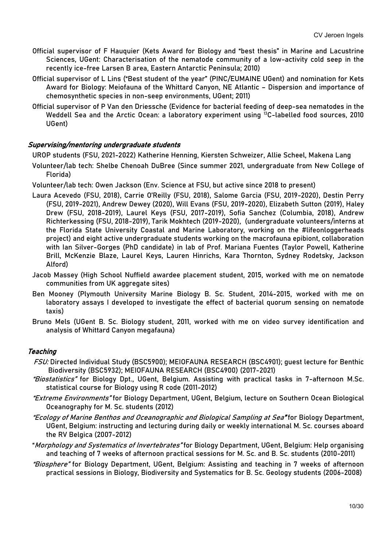- Official supervisor of F Hauquier (Kets Award for Biology and "best thesis" in Marine and Lacustrine Sciences, UGent: Characterisation of the nematode community of a low-activity cold seep in the recently ice-free Larsen B area, Eastern Antarctic Peninsula; 2010)
- Official supervisor of L Lins ("Best student of the year" (PINC/EUMAINE UGent) and nomination for Kets Award for Biology: Meiofauna of the Whittard Canyon, NE Atlantic – Dispersion and importance of chemosynthetic species in non-seep environments, UGent; 2011)
- Official supervisor of P Van den Driessche (Evidence for bacterial feeding of deep-sea nematodes in the Weddell Sea and the Arctic Ocean: a laboratory experiment using 13C-labelled food sources, 2010 UGent)

# Supervising/mentoring undergraduate students

UROP students (FSU, 2021-2022) Katherine Henning, Kiersten Schweizer, Allie Scheel, Makena Lang

- Volunteer/lab tech: Shelbe Chenoah DuBree (Since summer 2021, undergraduate from New College of Florida)
- Volunteer/lab tech: Owen Jackson (Env. Science at FSU, but active since 2018 to present)
- Laura Acevedo (FSU, 2018), Carrie O'Reilly (FSU, 2018), Salome Garcia (FSU, 2019-2020), Destin Perry (FSU, 2019-2021), Andrew Dewey (2020), Will Evans (FSU, 2019-2020), Elizabeth Sutton (2019), Haley Drew (FSU, 2018-2019), Laurel Keys (FSU, 2017-2019), Sofia Sanchez (Columbia, 2018), Andrew Richterkessing (FSU, 2018-2019), Tarik Mokhtech (2019-2020), (undergraduate volunteers/interns at the Florida State University Coastal and Marine Laboratory, working on the #lifeonloggerheads project) and eight active undergraduate students working on the macrofauna epibiont, collaboration with Ian Silver-Gorges (PhD candidate) in lab of Prof. Mariana Fuentes (Taylor Powell, Katherine Brill, McKenzie Blaze, Laurel Keys, Lauren Hinrichs, Kara Thornton, Sydney Rodetsky, Jackson Alford)
- Jacob Massey (High School Nuffield awardee placement student, 2015, worked with me on nematode communities from UK aggregate sites)
- Ben Mooney (Plymouth University Marine Biology B. Sc. Student, 2014-2015, worked with me on laboratory assays I developed to investigate the effect of bacterial quorum sensing on nematode taxis)
- Bruno Mels (UGent B. Sc. Biology student, 2011, worked with me on video survey identification and analysis of Whittard Canyon megafauna)

# **Teaching**

- FSU: Directed Individual Study (BSC5900); MEIOFAUNA RESEARCH (BSC4901); guest lecture for Benthic Biodiversity (BSC5932); MEIOFAUNA RESEARCH (BSC4900) (2017-2021)
- "Biostatistics" for Biology Dpt., UGent, Belgium. Assisting with practical tasks in 7-afternoon M.Sc. statistical course for Biology using R code (2011-2012)
- "Extreme Environments" for Biology Department, UGent, Belgium, lecture on Southern Ocean Biological Oceanography for M. Sc. students (2012)
- "Ecology of Marine Benthos and Oceanographic and Biological Sampling at Sea" for Biology Department, UGent, Belgium: instructing and lecturing during daily or weekly international M. Sc. courses aboard the RV Belgica (2007-2012)
- "Morphology and Systematics of Invertebrates" for Biology Department, UGent, Belgium: Help organising and teaching of 7 weeks of afternoon practical sessions for M. Sc. and B. Sc. students (2010-2011)
- "Biosphere" for Biology Department, UGent, Belgium: Assisting and teaching in 7 weeks of afternoon practical sessions in Biology, Biodiversity and Systematics for B. Sc. Geology students (2006-2008)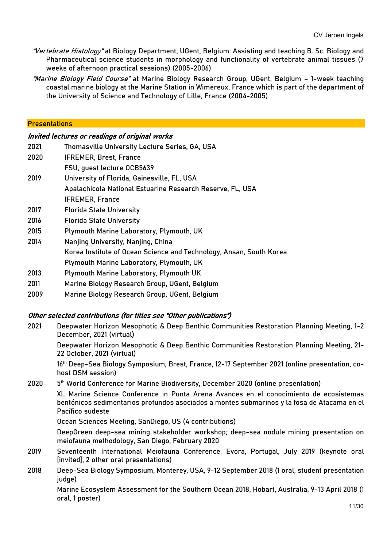- "Vertebrate Histology" at Biology Department, UGent, Belgium: Assisting and teaching B. Sc. Biology and Pharmaceutical science students in morphology and functionality of vertebrate animal tissues (7 weeks of afternoon practical sessions) (2005-2006)
- "Marine Biology Field Course" at Marine Biology Research Group, UGent, Belgium 1-week teaching coastal marine biology at the Marine Station in Wimereux, France which is part of the department of the University of Science and Technology of Lille, France (2004-2005)

#### **Presentations**

#### Invited lectures or readings of original works

- 2021 Thomasville University Lecture Series, GA, USA
- 2020 IFREMER, Brest, France
- FSU, guest lecture OCB5639
- 2019 University of Florida, Gainesville, FL, USA Apalachicola National Estuarine Research Reserve, FL, USA IFREMER, France
- 2017 Florida State University
- 2016 Florida State University
- 2015 Plymouth Marine Laboratory, Plymouth, UK
- 2014 Nanjing University, Nanjing, China
- Korea Institute of Ocean Science and Technology, Ansan, South Korea
- Plymouth Marine Laboratory, Plymouth, UK
- 2013 Plymouth Marine Laboratory, Plymouth UK
- 2011 Marine Biology Research Group, UGent, Belgium
- 2009 Marine Biology Research Group, UGent, Belgium

# Other selected contributions (for titles see "Other publications")

2021 Deepwater Horizon Mesophotic & Deep Benthic Communities Restoration Planning Meeting, 1-2 December, 2021 (virtual)

Deepwater Horizon Mesophotic & Deep Benthic Communities Restoration Planning Meeting, 21- 22 October, 2021 (virtual)

16th Deep-Sea Biology Symposium, Brest, France, 12-17 September 2021 (online presentation, cohost DSM session)

2020 5th World Conference for Marine Biodiversity, December 2020 (online presentation)

XL Marine Science Conference in Punta Arena Avances en el conocimiento de ecosistemas bentónicos sedimentarios profundos asociados a montes submarinos y la fosa de Atacama en el Pacífico sudeste

Ocean Sciences Meeting, SanDiego, US (4 contributions)

DeepGreen deep-sea mining stakeholder workshop; deep-sea nodule mining presentation on meiofauna methodology, San Diego, February 2020

- 2019 Seventeenth International Meiofauna Conference, Evora, Portugal, July 2019 (keynote oral [invited], 2 other oral presentations)
- 2018 Deep-Sea Biology Symposium, Monterey, USA, 9-12 September 2018 (1 oral, student presentation judge)

Marine Ecosystem Assessment for the Southern Ocean 2018, Hobart, Australia, 9-13 April 2018 (1 oral, 1 poster)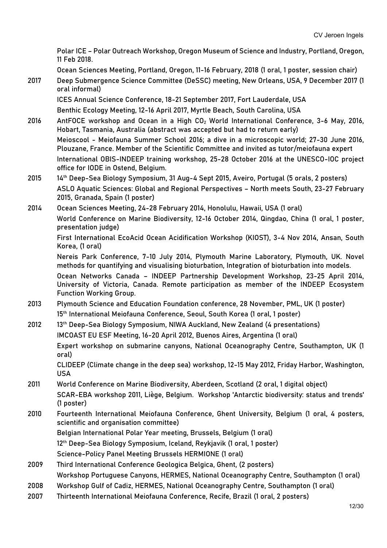Polar ICE – Polar Outreach Workshop, Oregon Museum of Science and Industry, Portland, Oregon, 11 Feb 2018.

Ocean Sciences Meeting, Portland, Oregon, 11-16 February, 2018 (1 oral, 1 poster, session chair)

2017 Deep Submergence Science Committee (DeSSC) meeting, New Orleans, USA, 9 December 2017 (1 oral informal)

ICES Annual Science Conference, 18-21 September 2017, Fort Lauderdale, USA Benthic Ecology Meeting, 12-16 April 2017, Myrtle Beach, South Carolina, USA

- 2016 AntFOCE workshop and Ocean in a High  $CO<sub>2</sub>$  World International Conference, 3-6 May, 2016, Hobart, Tasmania, Australia (abstract was accepted but had to return early) Meioscool - Meiofauna Summer School 2016; a dive in a microscopic world; 27-30 June 2016, Plouzane, France. Member of the Scientific Committee and invited as tutor/meiofauna expert International OBIS-INDEEP training workshop, 25-28 October 2016 at the UNESCO-IOC project office for IODE in Ostend, Belgium.
- 2015 14th Deep-Sea Biology Symposium, 31 Aug-4 Sept 2015, Aveiro, Portugal (5 orals, 2 posters) ASLO Aquatic Sciences: Global and Regional Perspectives – North meets South, 23-27 February 2015, Granada, Spain (1 poster)
- 2014 Ocean Sciences Meeting, 24-28 February 2014, Honolulu, Hawaii, USA (1 oral) World Conference on Marine Biodiversity, 12-16 October 2014, Qingdao, China (1 oral, 1 poster, presentation judge)

First International EcoAcid Ocean Acidification Workshop (KIOST), 3-4 Nov 2014, Ansan, South Korea, (1 oral)

Nereis Park Conference, 7-10 July 2014, Plymouth Marine Laboratory, Plymouth, UK. Novel methods for quantifying and visualising bioturbation, Integration of bioturbation into models.

Ocean Networks Canada – INDEEP Partnership Development Workshop, 23-25 April 2014, University of Victoria, Canada. Remote participation as member of the INDEEP Ecosystem Function Working Group.

- 2013 Plymouth Science and Education Foundation conference, 28 November, PML, UK (1 poster) 15<sup>th</sup> International Meiofauna Conference, Seoul, South Korea (1 oral, 1 poster)
- 2012 13<sup>th</sup> Deep-Sea Biology Symposium, NIWA Auckland, New Zealand (4 presentations) IMCOAST EU ESF Meeting, 16-20 April 2012, Buenos Aires, Argentina (1 oral) Expert workshop on submarine canyons, National Oceanography Centre, Southampton, UK (1 oral) CLIDEEP (Climate change in the deep sea) workshop, 12-15 May 2012, Friday Harbor, Washington,
- USA 2011 World Conference on Marine Biodiversity, Aberdeen, Scotland (2 oral, 1 digital object) SCAR-EBA workshop 2011, Liège, Belgium. Workshop 'Antarctic biodiversity: status and trends'
	- (1 poster)
- 2010 Fourteenth International Meiofauna Conference, Ghent University, Belgium (1 oral, 4 posters, scientific and organisation committee)
	- Belgian International Polar Year meeting, Brussels, Belgium (1 oral)

12th Deep-Sea Biology Symposium, Iceland, Reykjavik (1 oral, 1 poster)

Science-Policy Panel Meeting Brussels HERMIONE (1 oral)

- 2009 Third International Conference Geologica Belgica, Ghent, (2 posters)
- Workshop Portuguese Canyons, HERMES, National Oceanography Centre, Southampton (1 oral)
- 2008 Workshop Gulf of Cadiz, HERMES, National Oceanography Centre, Southampton (1 oral)
- 2007 Thirteenth International Meiofauna Conference, Recife, Brazil (1 oral, 2 posters)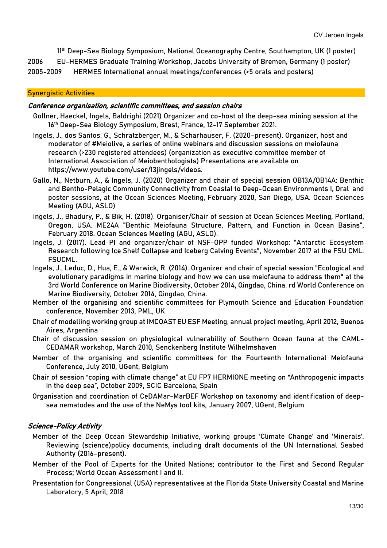11th Deep-Sea Biology Symposium, National Oceanography Centre, Southampton, UK (1 poster) 2006 EU-HERMES Graduate Training Workshop, Jacobs University of Bremen, Germany (1 poster)

2005-2009 HERMES International annual meetings/conferences (>5 orals and posters)

#### Synergistic Activities

#### Conference organisation, scientific committees, and session chairs

- Gollner, Haeckel, Ingels, Baldrighi (2021) Organizer and co-host of the deep-sea mining session at the 16th Deep-Sea Biology Symposium, Brest, France, 12-17 September 2021.
- Ingels, J., dos Santos, G., Schratzberger, M., & Scharhauser, F. (2020–present). Organizer, host and moderator of #Meiolive, a series of online webinars and discussion sessions on meiofauna research (>230 registered attendees) (organization as executive committee member of International Association of Meiobenthologists) Presentations are available on https://www.youtube.com/user/13jingels/videos.
- Gallo, N., Netburn, A., & Ingels, J. (2020) Organizer and chair of special session OB13A/OB14A: Benthic and Bentho-Pelagic Community Connectivity from Coastal to Deep-Ocean Environments I, Oral and poster sessions, at the Ocean Sciences Meeting, February 2020, San Diego, USA. Ocean Sciences Meeting (AGU, ASLO)
- Ingels, J., Bhadury, P., & Bik, H. (2018). Organiser/Chair of session at Ocean Sciences Meeting, Portland, Oregon, USA. ME24A "Benthic Meiofauna Structure, Pattern, and Function in Ocean Basins", February 2018. Ocean Sciences Meeting (AGU, ASLO).
- Ingels, J. (2017). Lead PI and organizer/chair of NSF-OPP funded Workshop: "Antarctic Ecosystem Research following Ice Shelf Collapse and Iceberg Calving Events", November 2017 at the FSU CML. FSUCML.
- Ingels, J., Leduc, D., Hua, E., & Warwick, R. (2014). Organizer and chair of special session "Ecological and evolutionary paradigms in marine biology and how we can use meiofauna to address them" at the 3rd World Conference on Marine Biodiversity, October 2014, Qingdao, China. rd World Conference on Marine Biodiversity, October 2014, Qingdao, China.
- Member of the organising and scientific committees for Plymouth Science and Education Foundation conference, November 2013, PML, UK
- Chair of modelling working group at IMCOAST EU ESF Meeting, annual project meeting, April 2012, Buenos Aires, Argentina
- Chair of discussion session on physiological vulnerability of Southern Ocean fauna at the CAML-CEDAMAR workshop, March 2010, Senckenberg Institute Wilhelmshaven
- Member of the organising and scientific committees for the Fourteenth International Meiofauna Conference, July 2010, UGent, Belgium
- Chair of session "coping with climate change" at EU FP7 HERMIONE meeting on "Anthropogenic impacts in the deep sea", October 2009, SCIC Barcelona, Spain
- Organisation and coordination of CeDAMar-MarBEF Workshop on taxonomy and identification of deepsea nematodes and the use of the NeMys tool kits, January 2007, UGent, Belgium

#### Science-Policy Activity

- Member of the Deep Ocean Stewardship Initiative, working groups 'Climate Change' and 'Minerals'. Reviewing (science)policy documents, including draft documents of the UN International Seabed Authority (2016–present).
- Member of the Pool of Experts for the United Nations; contributor to the First and Second Regular Process; World Ocean Assessment I and II.
- Presentation for Congressional (USA) representatives at the Florida State University Coastal and Marine Laboratory, 5 April, 2018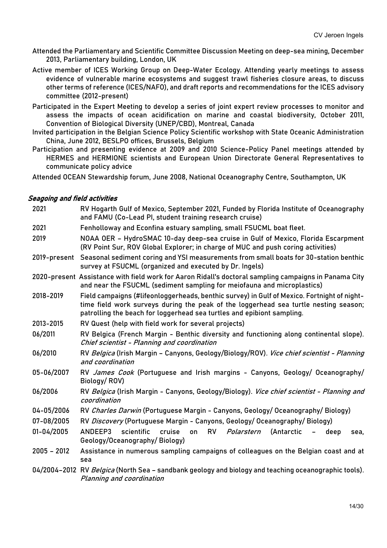- Attended the Parliamentary and Scientific Committee Discussion Meeting on deep-sea mining, December 2013, Parliamentary building, London, UK
- Active member of ICES Working Group on Deep-Water Ecology. Attending yearly meetings to assess evidence of vulnerable marine ecosystems and suggest trawl fisheries closure areas, to discuss other terms of reference (ICES/NAFO), and draft reports and recommendations for the ICES advisory committee (2012-present)
- Participated in the Expert Meeting to develop a series of joint expert review processes to monitor and assess the impacts of ocean acidification on marine and coastal biodiversity, October 2011, Convention of Biological Diversity (UNEP/CBD), Montreal, Canada
- Invited participation in the Belgian Science Policy Scientific workshop with State Oceanic Administration China, June 2012, BESLPO offices, Brussels, Belgium
- Participation and presenting evidence at 2009 and 2010 Science-Policy Panel meetings attended by HERMES and HERMIONE scientists and European Union Directorate General Representatives to communicate policy advice

Attended OCEAN Stewardship forum, June 2008, National Oceanography Centre, Southampton, UK

# Seagoing and field activities

| 2021          | RV Hogarth Gulf of Mexico, September 2021, Funded by Florida Institute of Oceanography<br>and FAMU (Co-Lead PI, student training research cruise)                                                                                                             |
|---------------|---------------------------------------------------------------------------------------------------------------------------------------------------------------------------------------------------------------------------------------------------------------|
| 2021          | Fenholloway and Econfina estuary sampling, small FSUCML boat fleet.                                                                                                                                                                                           |
| 2019          | NOAA OER - HydroSMAC 10-day deep-sea cruise in Gulf of Mexico, Florida Escarpment<br>(RV Point Sur, ROV Global Explorer; in charge of MUC and push coring activities)                                                                                         |
| 2019-present  | Seasonal sediment coring and YSI measurements from small boats for 30-station benthic<br>survey at FSUCML (organized and executed by Dr. Ingels)                                                                                                              |
|               | 2020-present Assistance with field work for Aaron Ridall's doctoral sampling campaigns in Panama City<br>and near the FSUCML (sediment sampling for meiofauna and microplastics)                                                                              |
| 2018-2019     | Field campaigns (#lifeonloggerheads, benthic survey) in Gulf of Mexico. Fortnight of night-<br>time field work surveys during the peak of the loggerhead sea turtle nesting season;<br>patrolling the beach for loggerhead sea turtles and epibiont sampling. |
| 2013-2015     | RV Quest (help with field work for several projects)                                                                                                                                                                                                          |
| 06/2011       | RV Belgica (French Margin - Benthic diversity and functioning along continental slope).<br>Chief scientist - Planning and coordination                                                                                                                        |
| 06/2010       | RV Belgica (Irish Margin - Canyons, Geology/Biology/ROV). Vice chief scientist - Planning<br>and coordination                                                                                                                                                 |
| 05-06/2007    | RV James Cook (Portuguese and Irish margins - Canyons, Geology/ Oceanography/<br>Biology/ROV)                                                                                                                                                                 |
| 06/2006       | RV Belgica (Irish Margin - Canyons, Geology/Biology). Vice chief scientist - Planning and<br>coordination                                                                                                                                                     |
| 04-05/2006    | RV Charles Darwin (Portuguese Margin - Canyons, Geology/ Oceanography/ Biology)                                                                                                                                                                               |
| 07-08/2005    | RV Discovery (Portuguese Margin - Canyons, Geology/ Oceanography/ Biology)                                                                                                                                                                                    |
| 01-04/2005    | ANDEEP3<br>scientific<br>cruise<br><b>RV</b><br>Polarstern<br>(Antarctic<br>on<br>$\blacksquare$<br>deep<br>sea,<br>Geology/Oceanography/Biology)                                                                                                             |
| $2005 - 2012$ | Assistance in numerous sampling campaigns of colleagues on the Belgian coast and at<br>sea                                                                                                                                                                    |
|               | 04/2004-2012 RV Belgica (North Sea - sandbank geology and biology and teaching oceanographic tools).<br>Planning and coordination                                                                                                                             |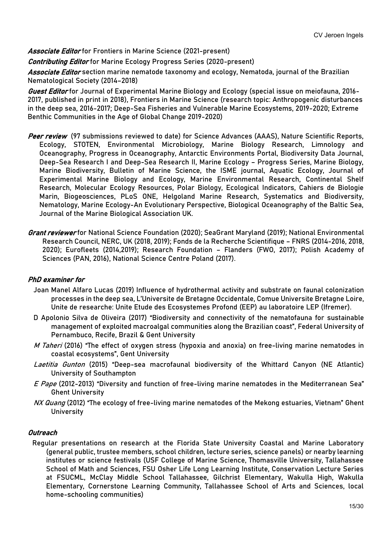Associate Editor for Frontiers in Marine Science (2021-present)

**Contributing Editor** for Marine Ecology Progress Series (2020-present)

Associate Editor section marine nematode taxonomy and ecology, Nematoda, journal of the Brazilian Nematological Society (2014–2018)

Guest Editor for Journal of Experimental Marine Biology and Ecology (special issue on meiofauna, 2016-2017, published in print in 2018), Frontiers in Marine Science (research topic: Anthropogenic disturbances in the deep sea, 2016-2017; Deep-Sea Fisheries and Vulnerable Marine Ecosystems, 2019-2020; Extreme Benthic Communities in the Age of Global Change 2019-2020)

- Peer review (97 submissions reviewed to date) for Science Advances (AAAS), Nature Scientific Reports, Ecology, STOTEN, Environmental Microbiology, Marine Biology Research, Limnology and Oceanography, Progress in Oceanography, Antarctic Environments Portal, Biodiversity Data Journal, Deep-Sea Research I and Deep-Sea Research II, Marine Ecology – Progress Series, Marine Biology, Marine Biodiversity, Bulletin of Marine Science, the ISME journal, Aquatic Ecology, Journal of Experimental Marine Biology and Ecology, Marine Environmental Research, Continental Shelf Research, Molecular Ecology Resources, Polar Biology, Ecological Indicators, Cahiers de Biologie Marin, Biogeosciences, PLoS ONE, Helgoland Marine Research, Systematics and Biodiversity, Nematology, Marine Ecology-An Evolutionary Perspective, Biological Oceanography of the Baltic Sea, Journal of the Marine Biological Association UK.
- Grant reviewer for National Science Foundation (2020); SeaGrant Maryland (2019); National Environmental Research Council, NERC, UK (2018, 2019); Fonds de la Recherche Scientifique – FNRS (2014-2016, 2018, 2020); Eurofleets (2014,2019); Research Foundation – Flanders (FWO, 2017); Polish Academy of Sciences (PAN, 2016), National Science Centre Poland (2017).

# PhD examiner for

- Joan Manel Alfaro Lucas (2019) Influence of hydrothermal activity and substrate on faunal colonization processes in the deep sea, L'Universite de Bretagne Occidentale, Comue Universite Bretagne Loire, Unite de researche: Unite Etude des Ecosystemes Profond (EEP) au laboratoire LEP (Ifremer).
- D Apolonio Silva de Oliveira (2017) "Biodiversity and connectivity of the nematofauna for sustainable management of exploited macroalgal communities along the Brazilian coast", Federal University of Pernambuco, Recife, Brazil & Gent University
- M Taheri (2016) "The effect of oxygen stress (hypoxia and anoxia) on free-living marine nematodes in coastal ecosystems", Gent University
- Laetitia Gunton (2015) "Deep-sea macrofaunal biodiversity of the Whittard Canyon (NE Atlantic) University of Southampton
- E Pape (2012-2013) "Diversity and function of free-living marine nematodes in the Mediterranean Sea" Ghent University
- NX Quang (2012) "The ecology of free-living marine nematodes of the Mekong estuaries, Vietnam" Ghent **University**

#### Outreach

Regular presentations on research at the Florida State University Coastal and Marine Laboratory (general public, trustee members, school children, lecture series, science panels) or nearby learning institutes or science festivals (USF College of Marine Science, Thomasville University, Tallahassee School of Math and Sciences, FSU Osher Life Long Learning Institute, Conservation Lecture Series at FSUCML, McClay Middle School Tallahassee, Gilchrist Elementary, Wakulla High, Wakulla Elementary, Cornerstone Learning Community, Tallahassee School of Arts and Sciences, local home-schooling communities)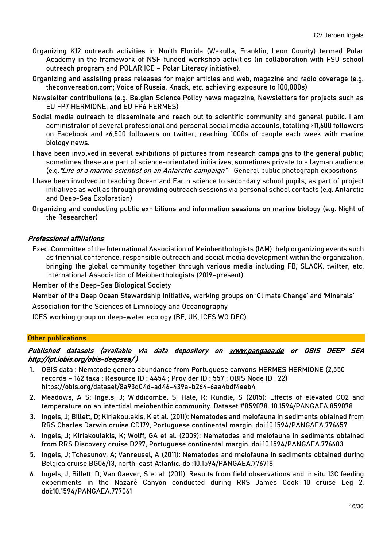- Organizing K12 outreach activities in North Florida (Wakulla, Franklin, Leon County) termed Polar Academy in the framework of NSF-funded workshop activities (in collaboration with FSU school outreach program and POLAR ICE – Polar Literacy initiative).
- Organizing and assisting press releases for major articles and web, magazine and radio coverage (e.g. theconversation.com; Voice of Russia, Knack, etc. achieving exposure to 100,000s)
- Newsletter contributions (e.g. Belgian Science Policy news magazine, Newsletters for projects such as EU FP7 HERMIONE, and EU FP6 HERMES)
- Social media outreach to disseminate and reach out to scientific community and general public. I am administrator of several professional and personal social media accounts, totalling >11,600 followers on Facebook and >6,500 followers on twitter; reaching 1000s of people each week with marine biology news.
- I have been involved in several exhibitions of pictures from research campaigns to the general public; sometimes these are part of science-orientated initiatives, sometimes private to a layman audience (e.g."Life of a marine scientist on an Antarctic campaign" - General public photograph expositions
- I have been involved in teaching Ocean and Earth science to secondary school pupils, as part of project initiatives as well as through providing outreach sessions via personal school contacts (e.g. Antarctic and Deep-Sea Exploration)
- Organizing and conducting public exhibitions and information sessions on marine biology (e.g. Night of the Researcher)

# Professional affiliations

Exec. Committee of the International Association of Meiobenthologists (IAM): help organizing events such as triennial conference, responsible outreach and social media development within the organization, bringing the global community together through various media including FB, SLACK, twitter, etc, International Association of Meiobenthologists (2019–present)

Member of the Deep-Sea Biological Society

Member of the Deep Ocean Stewardship Initiative, working groups on 'Climate Change' and 'Minerals'

Association for the Sciences of Limnology and Oceanography

ICES working group on deep-water ecology (BE, UK, ICES WG DEC)

#### **Other publications**

# Published datasets (available via data depository on [www.pangaea.de](http://www.pangaea.de/) or OBIS DEEP SEA <http://ipt.iobis.org/obis-deepsea/>)

- 1. OBIS data : Nematode genera abundance from Portuguese canyons HERMES HERMIONE (2,550 records – 162 taxa ; Resource ID : 4454 ; Provider ID : 557 ; OBIS Node ID : 22) <https://obis.org/dataset/8a93d04d-ad46-439a-b264-6aa4bdf4eeb4>
- 2. Meadows, A S; Ingels, J; Widdicombe, S; Hale, R; Rundle, S (2015): Effects of elevated CO2 and temperature on an intertidal meiobenthic community. Dataset #859078. 10.1594/PANGAEA.859078
- 3. Ingels, J; Billett, D; Kiriakoulakis, K et al. (2011): Nematodes and meiofauna in sediments obtained from RRS Charles Darwin cruise CD179, Portuguese continental margin. doi:10.1594/PANGAEA.776657
- 4. Ingels, J; Kiriakoulakis, K; Wolff, GA et al. (2009): Nematodes and meiofauna in sediments obtained from RRS Discovery cruise D297, Portuguese continental margin. doi:10.1594/PANGAEA.776603
- 5. Ingels, J; Tchesunov, A; Vanreusel, A (2011): Nematodes and meiofauna in sediments obtained during Belgica cruise BG06/13, north-east Atlantic. doi:10.1594/PANGAEA.776718
- 6. Ingels, J; Billett, D; Van Gaever, S et al. (2011): Results from field observations and in situ 13C feeding experiments in the Nazaré Canyon conducted during RRS James Cook 10 cruise Leg 2. doi:10.1594/PANGAEA.777061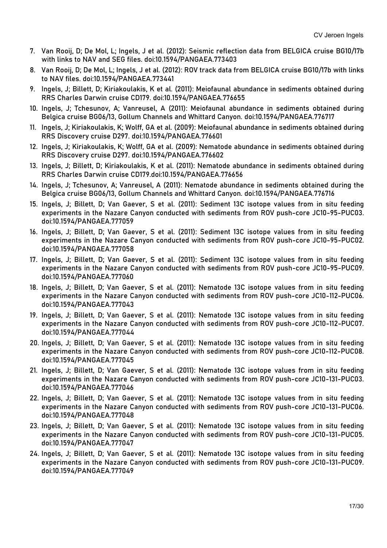- 7. Van Rooij, D; De Mol, L; Ingels, J et al. (2012): Seismic reflection data from BELGICA cruise BG10/17b with links to NAV and SEG files. doi:10.1594/PANGAEA.773403
- 8. Van Rooij, D; De Mol, L; Ingels, J et al. (2012): ROV track data from BELGICA cruise BG10/17b with links to NAV files. doi:10.1594/PANGAEA.773441
- 9. Ingels, J; Billett, D; Kiriakoulakis, K et al. (2011): Meiofaunal abundance in sediments obtained during RRS Charles Darwin cruise CD179. doi:10.1594/PANGAEA.776655
- 10. Ingels, J; Tchesunov, A; Vanreusel, A (2011): Meiofaunal abundance in sediments obtained during Belgica cruise BG06/13, Gollum Channels and Whittard Canyon. doi:10.1594/PANGAEA.776717
- 11. Ingels, J; Kiriakoulakis, K; Wolff, GA et al. (2009): Meiofaunal abundance in sediments obtained during RRS Discovery cruise D297. doi:10.1594/PANGAEA.776601
- 12. Ingels, J; Kiriakoulakis, K; Wolff, GA et al. (2009): Nematode abundance in sediments obtained during RRS Discovery cruise D297. doi:10.1594/PANGAEA.776602
- 13. Ingels, J; Billett, D; Kiriakoulakis, K et al. (2011): Nematode abundance in sediments obtained during RRS Charles Darwin cruise CD179.doi:10.1594/PANGAEA.776656
- 14. Ingels, J; Tchesunov, A; Vanreusel, A (2011): Nematode abundance in sediments obtained during the Belgica cruise BG06/13, Gollum Channels and Whittard Canyon. doi:10.1594/PANGAEA.776716
- 15. Ingels, J; Billett, D; Van Gaever, S et al. (2011): Sediment 13C isotope values from in situ feeding experiments in the Nazare Canyon conducted with sediments from ROV push-core JC10-95-PUC03. doi:10.1594/PANGAEA.777059
- 16. Ingels, J; Billett, D; Van Gaever, S et al. (2011): Sediment 13C isotope values from in situ feeding experiments in the Nazare Canyon conducted with sediments from ROV push-core JC10-95-PUC02. doi:10.1594/PANGAEA.777058
- 17. Ingels, J; Billett, D; Van Gaever, S et al. (2011): Sediment 13C isotope values from in situ feeding experiments in the Nazare Canyon conducted with sediments from ROV push-core JC10-95-PUC09. doi:10.1594/PANGAEA.777060
- 18. Ingels, J; Billett, D; Van Gaever, S et al. (2011): Nematode 13C isotope values from in situ feeding experiments in the Nazare Canyon conducted with sediments from ROV push-core JC10-112-PUC06. doi:10.1594/PANGAEA.777043
- 19. Ingels, J; Billett, D; Van Gaever, S et al. (2011): Nematode 13C isotope values from in situ feeding experiments in the Nazare Canyon conducted with sediments from ROV push-core JC10-112-PUC07. doi:10.1594/PANGAEA.777044
- 20. Ingels, J; Billett, D; Van Gaever, S et al. (2011): Nematode 13C isotope values from in situ feeding experiments in the Nazare Canyon conducted with sediments from ROV push-core JC10-112-PUC08. doi:10.1594/PANGAEA.777045
- 21. Ingels, J; Billett, D; Van Gaever, S et al. (2011): Nematode 13C isotope values from in situ feeding experiments in the Nazare Canyon conducted with sediments from ROV push-core JC10-131-PUC03. doi:10.1594/PANGAEA.777046
- 22. Ingels, J; Billett, D; Van Gaever, S et al. (2011): Nematode 13C isotope values from in situ feeding experiments in the Nazare Canyon conducted with sediments from ROV push-core JC10-131-PUC06. doi:10.1594/PANGAEA.777048
- 23. Ingels, J; Billett, D; Van Gaever, S et al. (2011): Nematode 13C isotope values from in situ feeding experiments in the Nazare Canyon conducted with sediments from ROV push-core JC10-131-PUC05. doi:10.1594/PANGAEA.777047
- 24. Ingels, J; Billett, D; Van Gaever, S et al. (2011): Nematode 13C isotope values from in situ feeding experiments in the Nazare Canyon conducted with sediments from ROV push-core JC10-131-PUC09. doi:10.1594/PANGAEA.777049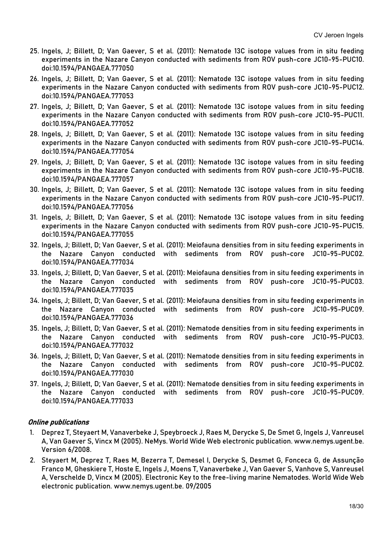- 25. Ingels, J; Billett, D; Van Gaever, S et al. (2011): Nematode 13C isotope values from in situ feeding experiments in the Nazare Canyon conducted with sediments from ROV push-core JC10-95-PUC10. doi:10.1594/PANGAEA.777050
- 26. Ingels, J; Billett, D; Van Gaever, S et al. (2011): Nematode 13C isotope values from in situ feeding experiments in the Nazare Canyon conducted with sediments from ROV push-core JC10-95-PUC12. doi:10.1594/PANGAEA.777053
- 27. Ingels, J; Billett, D; Van Gaever, S et al. (2011): Nematode 13C isotope values from in situ feeding experiments in the Nazare Canyon conducted with sediments from ROV push-core JC10-95-PUC11. doi:10.1594/PANGAEA.777052
- 28. Ingels, J; Billett, D; Van Gaever, S et al. (2011): Nematode 13C isotope values from in situ feeding experiments in the Nazare Canyon conducted with sediments from ROV push-core JC10-95-PUC14. doi:10.1594/PANGAEA.777054
- 29. Ingels, J; Billett, D; Van Gaever, S et al. (2011): Nematode 13C isotope values from in situ feeding experiments in the Nazare Canyon conducted with sediments from ROV push-core JC10-95-PUC18. doi:10.1594/PANGAEA.777057
- 30. Ingels, J; Billett, D; Van Gaever, S et al. (2011): Nematode 13C isotope values from in situ feeding experiments in the Nazare Canyon conducted with sediments from ROV push-core JC10-95-PUC17. doi:10.1594/PANGAEA.777056
- 31. Ingels, J; Billett, D; Van Gaever, S et al. (2011): Nematode 13C isotope values from in situ feeding experiments in the Nazare Canyon conducted with sediments from ROV push-core JC10-95-PUC15. doi:10.1594/PANGAEA.777055
- 32. Ingels, J; Billett, D; Van Gaever, S et al. (2011): Meiofauna densities from in situ feeding experiments in the Nazare Canyon conducted with sediments from ROV push-core JC10-95-PUC02. doi:10.1594/PANGAEA.777034
- 33. Ingels, J; Billett, D; Van Gaever, S et al. (2011): Meiofauna densities from in situ feeding experiments in the Nazare Canyon conducted with sediments from ROV push-core JC10-95-PUC03. doi:10.1594/PANGAEA.777035
- 34. Ingels, J; Billett, D; Van Gaever, S et al. (2011): Meiofauna densities from in situ feeding experiments in the Nazare Canyon conducted with sediments from ROV push-core JC10-95-PUC09. doi:10.1594/PANGAEA.777036
- 35. Ingels, J; Billett, D; Van Gaever, S et al. (2011): Nematode densities from in situ feeding experiments in the Nazare Canyon conducted with sediments from ROV push-core JC10-95-PUC03. doi:10.1594/PANGAEA.777032
- 36. Ingels, J; Billett, D; Van Gaever, S et al. (2011): Nematode densities from in situ feeding experiments in the Nazare Canyon conducted with sediments from ROV push-core JC10-95-PUC02. doi:10.1594/PANGAEA.777030
- 37. Ingels, J; Billett, D; Van Gaever, S et al. (2011): Nematode densities from in situ feeding experiments in the Nazare Canyon conducted with sediments from ROV push-core JC10-95-PUC09. doi:10.1594/PANGAEA.777033

# Online publications

- 1. Deprez T, Steyaert M, Vanaverbeke J, Speybroeck J, Raes M, Derycke S, De Smet G, Ingels J, Vanreusel A, Van Gaever S, Vincx M (2005). NeMys. World Wide Web electronic publication[. www.nemys.ugent.be.](http://www.nemys.ugent.be/)  Version 6/2008.
- 2. Steyaert M, Deprez T, Raes M, Bezerra T, Demesel I, Derycke S, Desmet G, Fonceca G, de Assunção Franco M, Gheskiere T, Hoste E, Ingels J, Moens T, Vanaverbeke J, Van Gaever S, Vanhove S, Vanreusel A, Verschelde D, Vincx M (2005). Electronic Key to the free-living marine Nematodes. World Wide Web electronic publication. www.nemys.ugent.be. 09/2005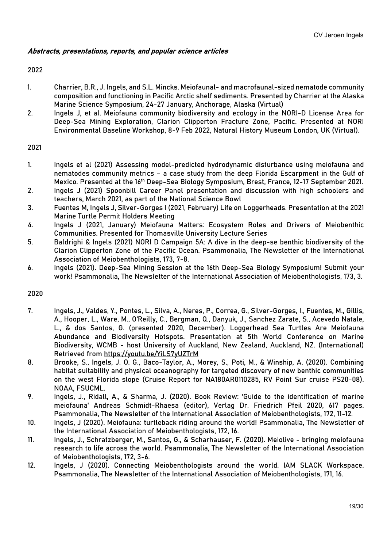## Abstracts, presentations, reports, and popular science articles

#### 2022

- 1. Charrier, B.R., J. Ingels, and S.L. Mincks. Meiofaunal- and macrofaunal-sized nematode community composition and functioning in Pacific Arctic shelf sediments. Presented by Charrier at the Alaska Marine Science Symposium, 24-27 January, Anchorage, Alaska (Virtual)
- 2. Ingels J, et al. Meiofauna community biodiversity and ecology in the NORI-D License Area for Deep-Sea Mining Exploration, Clarion Clipperton Fracture Zone, Pacific. Presented at NORI Environmental Baseline Workshop, 8-9 Feb 2022, Natural History Museum London, UK (Virtual).

## 2021

- 1. Ingels et al (2021) Assessing model-predicted hydrodynamic disturbance using meiofauna and nematodes community metrics – a case study from the deep Florida Escarpment in the Gulf of Mexico. Presented at the 16<sup>th</sup> Deep-Sea Biology Symposium, Brest, France, 12-17 September 2021.
- 2. Ingels J (2021) Spoonbill Career Panel presentation and discussion with high schoolers and teachers, March 2021, as part of the National Science Bowl
- 3. Fuentes M, Ingels J, Silver-Gorges I (2021, February) Life on Loggerheads. Presentation at the 2021 Marine Turtle Permit Holders Meeting
- 4. Ingels J (2021, January) Meiofauna Matters: Ecosystem Roles and Drivers of Meiobenthic Communities. Presented for Thomasville University Lecture Series
- 5. Baldrighi & Ingels (2021) NORI D Campaign 5A: A dive in the deep-se benthic biodiversity of the Clarion Clipperton Zone of the Pacific Ocean. Psammonalia, The Newsletter of the International Association of Meiobenthologists, 173, 7-8.
- 6. Ingels (2021). Deep-Sea Mining Session at the 16th Deep-Sea Biology Symposium! Submit your work! Psammonalia, The Newsletter of the International Association of Meiobenthologists, 173, 3.

- 7. Ingels, J., Valdes, Y., Pontes, L., Silva, A., Neres, P., Correa, G., Silver-Gorges, I., Fuentes, M., Gillis, A., Hooper, L., Ware, M., O'Reilly, C., Bergman, Q., Danyuk, J., Sanchez Zarate, S., Acevedo Natale, L., & dos Santos, G. (presented 2020, December). Loggerhead Sea Turtles Are Meiofauna Abundance and Biodiversity Hotspots. Presentation at 5th World Conference on Marine Biodiversity, WCMB - host University of Auckland, New Zealand, Auckland, NZ. (International) Retrieved from<https://youtu.be/YiLS7yUZTrM>
- 8. Brooke, S., Ingels, J. O. G., Baco-Taylor, A., Morey, S., Poti, M., & Winship, A. (2020). Combining habitat suitability and physical oceanography for targeted discovery of new benthic communities on the west Florida slope (Cruise Report for NA180AR0110285, RV Point Sur cruise PS20-08). NOAA, FSUCML.
- 9. Ingels, J., Ridall, A., & Sharma, J. (2020). Book Review: 'Guide to the identification of marine meiofauna' Andreas Schmidt-Rhaesa (editor), Verlag Dr. Friedrich Pfeil 2020, 617 pages. Psammonalia, The Newsletter of the International Association of Meiobenthologists, 172, 11-12.
- 10. Ingels, J (2020). Meiofauna: turtleback riding around the world! Psammonalia, The Newsletter of the International Association of Meiobenthologists, 172, 16.
- 11. Ingels, J., Schratzberger, M., Santos, G., & Scharhauser, F. (2020). Meiolive bringing meiofauna research to life across the world. Psammonalia, The Newsletter of the International Association of Meiobenthologists, 172, 3-6.
- 12. Ingels, J (2020). Connecting Meiobenthologists around the world. IAM SLACK Workspace. Psammonalia, The Newsletter of the International Association of Meiobenthologists, 171, 16.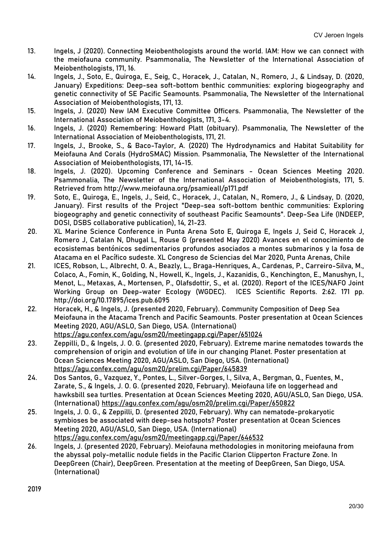- 13. Ingels, J (2020). Connecting Meiobenthologists around the world. IAM: How we can connect with the meiofauna community. Psammonalia, The Newsletter of the International Association of Meiobenthologists, 171, 16.
- 14. Ingels, J., Soto, E., Quiroga, E., Seig, C., Horacek, J., Catalan, N., Romero, J., & Lindsay, D. (2020, January) Expeditions: Deep-sea soft-bottom benthic communities: exploring biogeography and genetic connectivity of SE Pacific Seamounts. Psammonalia, The Newsletter of the International Association of Meiobenthologists, 171, 13.
- 15. Ingels, J. (2020) New IAM Executive Committee Officers. Psammonalia, The Newsletter of the International Association of Meiobenthologists, 171, 3-4.
- 16. Ingels, J. (2020) Remembering: Howard Platt (obituary). Psammonalia, The Newsletter of the International Association of Meiobenthologists, 171, 21.
- 17. Ingels, J., Brooke, S., & Baco-Taylor, A. (2020) The Hydrodynamics and Habitat Suitability for Meiofauna And Corals (HydroSMAC) Mission. Psammonalia, The Newsletter of the International Association of Meiobenthologists, 171, 14-15.
- 18. Ingels, J. (2020). Upcoming Conference and Seminars Ocean Sciences Meeting 2020. Psammonalia, The Newsletter of the International Association of Meiobenthologists, 171, 5. Retrieved from http://www.meiofauna.org/psamieall/p171.pdf
- 19. Soto, E., Quiroga, E., Ingels, J., Seid, C., Horacek, J., Catalan, N., Romero, J., & Lindsay, D. (2020, January). First results of the Project "Deep-sea soft-bottom benthic communities: Exploring biogeography and genetic connectivity of southeast Pacific Seamounts". Deep-Sea Life (INDEEP, DOSI, DSBS collaborative publication), 14, 21-23.
- 20. XL Marine Science Conference in Punta Arena Soto E, Quiroga E, Ingels J, Seid C, Horacek J, Romero J, Catalan N, Dhugal L, Rouse G (presented May 2020) Avances en el conocimiento de ecosistemas bentónicos sedimentarios profundos asociados a montes submarinos y la fosa de Atacama en el Pacífico sudeste. XL Congreso de Sciencias del Mar 2020, Punta Arenas, Chile
- 21. ICES, Robson, L., Albrecht, O. A., Beazly, L., Braga-Henriques, A., Cardenas, P., Carreiro-Silva, M., Colaco, A., Fomin, K., Golding, N., Howell, K., Ingels, J., Kazanidis, G., Kenchington, E., Manushyn, I., Menot, L., Metaxas, A., Mortensen, P., Olafsdottir, S., et al. (2020). Report of the ICES/NAFO Joint Working Group on Deep-water Ecology (WGDEC). ICES Scientific Reports. 2:62. 171 pp. http://doi.org/10.17895/ices.pub.6095
- 22. Horacek, H., & Ingels, J. (presented 2020, February). Community Composition of Deep Sea Meiofauna in the Atacama Trench and Pacific Seamounts. Poster presentation at Ocean Sciences Meeting 2020, AGU/ASLO, San Diego, USA. (International) <https://agu.confex.com/agu/osm20/meetingapp.cgi/Paper/651024>
- 23. Zeppilli, D., & Ingels, J. O. G. (presented 2020, February). Extreme marine nematodes towards the comprehension of origin and evolution of life in our changing Planet. Poster presentation at Ocean Sciences Meeting 2020, AGU/ASLO, San Diego, USA. (International) <https://agu.confex.com/agu/osm20/prelim.cgi/Paper/645839>
- 24. Dos Santos, G., Vazquez, Y., Pontes, L., Silver-Gorges, I., Silva, A., Bergman, Q., Fuentes, M., Zarate, S., & Ingels, J. O. G. (presented 2020, February). Meiofauna life on loggerhead and hawksbill sea turtles. Presentation at Ocean Sciences Meeting 2020, AGU/ASLO, San Diego, USA. (International)<https://agu.confex.com/agu/osm20/prelim.cgi/Paper/650822>
- 25. Ingels, J. O. G., & Zeppilli, D. (presented 2020, February). Why can nematode-prokaryotic symbioses be associated with deep-sea hotspots? Poster presentation at Ocean Sciences Meeting 2020, AGU/ASLO, San Diego, USA. (International) <https://agu.confex.com/agu/osm20/meetingapp.cgi/Paper/646532>
- 26. Ingels, J. (presented 2020, February). Meiofauna methodologies in monitoring meiofauna from the abyssal poly-metallic nodule fields in the Pacific Clarion Clipperton Fracture Zone. In DeepGreen (Chair), DeepGreen. Presentation at the meeting of DeepGreen, San Diego, USA. (International)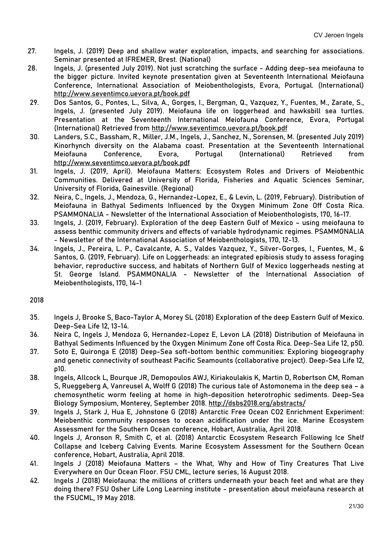- 27. Ingels, J. (2019) Deep and shallow water exploration, impacts, and searching for associations. Seminar presented at IFREMER, Brest. (National)
- 28. Ingels, J. (presented July 2019). Not just scratching the surface Adding deep-sea meiofauna to the bigger picture. Invited keynote presentation given at Seventeenth International Meiofauna Conference, International Association of Meiobenthologists, Evora, Portugal. (International) <http://www.seventimco.uevora.pt/book.pdf>
- 29. Dos Santos, G., Pontes, L., Silva, A., Gorges, I., Bergman, Q., Vazquez, Y., Fuentes, M., Zarate, S., Ingels, J. (presented July 2019). Meiofauna life on loggerhead and hawksbill sea turtles. Presentation at the Seventeenth International Meiofauna Conference, Evora, Portugal (International) Retrieved from<http://www.seventimco.uevora.pt/book.pdf>
- 30. Landers, S.C., Bassham, R., Miller, J.M., Ingels, J., Sanchez, N., Sorensen, M. (presented July 2019) Kinorhynch diversity on the Alabama coast. Presentation at the Seventeenth International Meiofauna Conference, Evora, Portugal (International) Retrieved from <http://www.seventimco.uevora.pt/book.pdf>
- 31. Ingels, J. (2019, April). Meiofauna Matters: Ecosystem Roles and Drivers of Meiobenthic Communities. Delivered at University of Florida, Fisheries and Aquatic Sciences Seminar, University of Florida, Gainesville. (Regional)
- 32. Neira, C., Ingels, J., Mendoza, G., Hernandez-Lopez, E., & Levin, L. (2019, February). Distribution of Meiofauna in Bathyal Sediments Influenced by the Oxygen Minimum Zone Off Costa Rica. PSAMMONALIA - Newsletter of the International Association of Meiobenthologists, 170, 16-17.
- 33. Ingels, J. (2019, February). Exploration of the deep Eastern Gulf of Mexico using meiofauna to assess benthic community drivers and effects of variable hydrodynamic regimes. PSAMMONALIA - Newsletter of the International Association of Meiobenthologists, 170, 12-13.
- 34. Ingels, J., Pereira, L. P., Cavalcante, A. S., Valdes Vazquez, Y., Silver-Gorges, I., Fuentes, M., & Santos, G. (2019, February). Life on Loggerheads: an integrated epibiosis study to assess foraging behavior, reproductive success, and habitats of Northern Gulf of Mexico loggerheads nesting at St. George Island. PSAMMONALIA - Newsletter of the International Association of Meiobenthologists, 170, 14-1

- 35. Ingels J, Brooke S, Baco-Taylor A, Morey SL (2018) Exploration of the deep Eastern Gulf of Mexico. Deep-Sea Life 12, 13-14.
- 36. Neira C, Ingels J, Mendoza G, Hernandez-Lopez E, Levon LA (2018) Distribution of Meiofauna in Bathyal Sediments Influenced by the Oxygen Minimum Zone off Costa Rica. Deep-Sea Life 12, p50.
- 37. Soto E, Quironga E (2018) Deep-Sea soft-bottom benthic communities: Exploring biogeography and genetic connectivity of southeast Pacific Seamounts (collaborative project). Deep-Sea Life 12, p10.
- 38. Ingels, Allcock L, Bourque JR, Demopoulos AWJ, Kiriakoulakis K, Martin D, Robertson CM, Roman S, Rueggeberg A, Vanreusel A, Wolff G (2018) The curious tale of Astomonema in the deep sea – a chemosynthetic worm feeling at home in high-deposition heterotrophic sediments. Deep-Sea Biology Symposium, Monterey, September 2018.<http://dsbs2018.org/abstracts/>
- 39. Ingels J, Stark J, Hua E, Johnstone G (2018) Antarctic Free Ocean CO2 Enrichment Experiment: Meiobenthic community responses to ocean acidification under the ice. Marine Ecosystem Assessment for the Southern Ocean conference, Hobart, Australia, April 2018.
- 40. Ingels J, Aronson R, Smith C, et al. (2018) Antarctic Ecosystem Research Following Ice Shelf Collapse and Iceberg Calving Events. Marine Ecosystem Assessment for the Southern Ocean conference, Hobart, Australia, April 2018.
- 41. Ingels J (2018) Meiofauna Matters the What, Why and How of Tiny Creatures That Live Everywhere on Our Ocean Floor. FSU CML, lecture series, 16 August 2018.
- 42. Ingels J (2018) Meiofauna: the millions of critters underneath your beach feet and what are they doing there? FSU Osher Life Long Learning institute - presentation about meiofauna research at the FSUCML, 19 May 2018.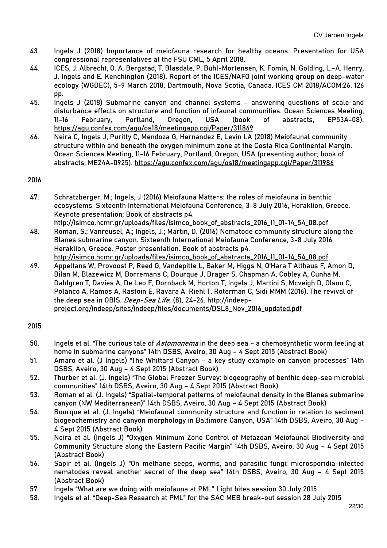- 43. Ingels J (2018) Importance of meiofauna research for healthy oceans. Presentation for USA congressional representatives at the FSU CML, 5 April 2018.
- 44. ICES, J. Albrecht, O. A. Bergstad, T. Blasdale, P. Buhl-Mortensen, K. Fomin, N. Golding, L.-A. Henry, J. Ingels and E. Kenchington (2018). Report of the ICES/NAFO joint working group on deep-water ecology (WGDEC), 5-9 March 2018, Dartmouth, Nova Scotia, Canada. ICES CM 2018/ACOM:26. 126 pp.
- 45. Ingels J (2018) Submarine canyon and channel systems answering questions of scale and disturbance effects on structure and function of infaunal communities. Ocean Sciences Meeting, 11-16 February, Portland, Oregon, USA (book of abstracts, EP53A-08). <https://agu.confex.com/agu/os18/meetingapp.cgi/Paper/311869>
- 46. Neira C, Ingels J, Puritty C, Mendoza G, Hernandez E, Levin LA (2018) Meiofaunal community structure within and beneath the oxygen minimum zone at the Costa Rica Continental Margin. Ocean Sciences Meeting, 11-16 February, Portland, Oregon, USA (presenting author; book of abstracts, ME24A-0925).<https://agu.confex.com/agu/os18/meetingapp.cgi/Paper/311986>

- 47. Schratzberger, M.; Ingels, J (2016) Meiofauna Matters: the roles of meiofauna in benthic ecosystems. Sixteenth International Meiofauna Conference, 3-8 July 2016, Heraklion, Greece. Keynote presentation; Book of abstracts p4.
- [http://isimco.hcmr.gr/uploads/files/isimco\\_book\\_of\\_abstracts\\_2016\\_11\\_01-14\\_54\\_08.pdf](http://isimco.hcmr.gr/uploads/files/isimco_book_of_abstracts_2016_11_01-14_54_08.pdf) 48. Roman, S.; Vanreusel, A.; Ingels, J.; Martin, D. (2016) Nematode community structure along the Blanes submarine canyon. Sixteenth International Meiofauna Conference, 3-8 July 2016, Heraklion, Greece. Poster presentation. Book of abstracts p4. [http://isimco.hcmr.gr/uploads/files/isimco\\_book\\_of\\_abstracts\\_2016\\_11\\_01-14\\_54\\_08.pdf](http://isimco.hcmr.gr/uploads/files/isimco_book_of_abstracts_2016_11_01-14_54_08.pdf)
- 49. Appeltans W, Provoost P, Reed G, Vandepitte L, Baker M, Higgs N, O'Hara T Althaus F, Amon D, Bilan M, Blazewicz M, Borremans C, Bourque J, Brager S, Chapman A, Cobley A, Cunha M, Dahlgren T, Davies A, De Leo F, Dornback M, Horton T, Ingels J, Martini S, Mcveigh D, Olson C, Polanco A, Ramos A, Rastoin E, Ravara A, Riehl T, Roterman C, Sidi MMM (2016). The revival of the deep sea in OBIS. Deep-Sea Life, (8), 24-26. [http://indeep](http://indeep-project.org/indeep/sites/indeep/files/documents/DSL8_Nov_2016_updated.pdf)[project.org/indeep/sites/indeep/files/documents/DSL8\\_Nov\\_2016\\_updated.pdf](http://indeep-project.org/indeep/sites/indeep/files/documents/DSL8_Nov_2016_updated.pdf)

- 50. Ingels et al. "The curious tale of *Astomonema* in the deep sea a chemosynthetic worm feeling at home in submarine canyons" 14th DSBS, Aveiro, 30 Aug – 4 Sept 2015 (Abstract Book)
- 51. Amaro et al. (J Ingels) "The Whittard Canyon a key study example on canyon processes" 14th DSBS, Aveiro, 30 Aug – 4 Sept 2015 (Abstract Book)
- 52. Thurber et al. (J. Ingels) "The Global Freezer Survey: biogeography of benthic deep-sea microbial communities" 14th DSBS, Aveiro, 30 Aug – 4 Sept 2015 (Abstract Book)
- 53. Roman et al. (J. Ingels) "Spatial-temporal patterns of meiofaunal density in the Blanes submarine canyon (NW Mediterranean)" 14th DSBS, Aveiro, 30 Aug – 4 Sept 2015 (Abstract Book)
- 54. Bourque et al. (J. Ingels) "Meiofaunal community structure and function in relation to sediment biogeochemistry and canyon morphology in Baltimore Canyon, USA" 14th DSBS, Aveiro, 30 Aug – 4 Sept 2015 (Abstract Book)
- 55. Neira et al. (Ingels J) "Oxygen Minimum Zone Control of Metazoan Meiofaunal Biodiversity and Community Structure along the Eastern Pacific Margin" 14th DSBS, Aveiro, 30 Aug – 4 Sept 2015 (Abstract Book)
- 56. Sapir et al. (Ingels J) "On methane seeps, worms, and parasitic fungi: microsporidia-infected nematodes reveal another secret of the deep sea" 14th DSBS, Aveiro, 30 Aug – 4 Sept 2015 (Abstract Book)
- 57. Ingels "What are we doing with meiofauna at PML" Light bites session 30 July 2015
- 58. Ingels et al. "Deep-Sea Research at PML" for the SAC MEB break-out session 28 July 2015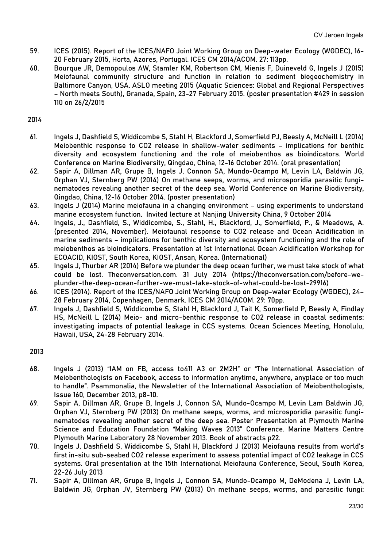- 59. ICES (2015). Report of the ICES/NAFO Joint Working Group on Deep-water Ecology (WGDEC), 16- 20 February 2015, Horta, Azores, Portugal. ICES CM 2014/ACOM. 27: 113pp.
- 60. Bourque JR, Demopoulos AW, Stamler KM, Robertson CM, Mienis F, Duineveld G, Ingels J (2015) Meiofaunal community structure and function in relation to sediment biogeochemistry in Baltimore Canyon, USA. ASLO meeting 2015 (Aquatic Sciences: Global and Regional Perspectives – North meets South), Granada, Spain, 23-27 February 2015. (poster presentation #429 in session 110 on 26/2/2015

- 61. Ingels J, Dashfield S, Widdicombe S, Stahl H, Blackford J, Somerfield PJ, Beesly A, McNeill L (2014) Meiobenthic response to CO2 release in shallow-water sediments – implications for benthic diversity and ecosystem functioning and the role of meiobenthos as bioindicators. World Conference on Marine Biodiversity, Qingdao, China, 12-16 October 2014. (oral presentation)
- 62. Sapir A, Dillman AR, Grupe B, Ingels J, Connon SA, Mundo-Ocampo M, Levin LA, Baldwin JG, Orphan VJ, Sternberg PW (2014) On methane seeps, worms, and microsporidia parasitic funginematodes revealing another secret of the deep sea. World Conference on Marine Biodiversity, Qingdao, China, 12-16 October 2014. (poster presentation)
- 63. Ingels J (2014) Marine meiofauna in a changing environment using experiments to understand marine ecosystem function. Invited lecture at Nanjing University China, 9 October 2014
- 64. Ingels, J., Dashfield, S., Widdicombe, S., Stahl, H., Blackford, J., Somerfield, P., & Meadows, A. (presented 2014, November). Meiofaunal response to CO2 release and Ocean Acidification in marine sediments – implications for benthic diversity and ecosystem functioning and the role of meiobenthos as bioindicators. Presentation at 1st International Ocean Acidification Workshop for ECOACID, KIOST, South Korea, KIOST, Ansan, Korea. (International)
- 65. Ingels J, Thurber AR (2014) Before we plunder the deep ocean further, we must take stock of what could be lost. Theconversation.com. 31 July 2014 (https://theconversation.com/before-weplunder-the-deep-ocean-further-we-must-take-stock-of-what-could-be-lost-29916)
- 66. ICES (2014). Report of the ICES/NAFO Joint Working Group on Deep-water Ecology (WGDEC), 24– 28 February 2014, Copenhagen, Denmark. ICES CM 2014/ACOM. 29: 70pp.
- 67. Ingels J, Dashfield S, Widdicombe S, Stahl H, Blackford J, Tait K, Somerfield P, Beesly A, Findlay HS, McNeill L (2014) Meio- and micro-benthic response to CO2 release in coastal sediments: investigating impacts of potential leakage in CCS systems. Ocean Sciences Meeting, Honolulu, Hawaii, USA, 24-28 February 2014.

- 68. Ingels J (2013) "IAM on FB, access to411 A3 or 2M2H" or "The International Association of Meiobenthologists on Facebook, access to information anytime, anywhere, anyplace or too much to handle". Psammonalia, the Newsletter of the International Association of Meiobenthologists, Issue 160, December 2013, p8-10.
- 69. Sapir A, Dillman AR, Grupe B, Ingels J, Connon SA, Mundo-Ocampo M, Levin Lam Baldwin JG, Orphan VJ, Sternberg PW (2013) On methane seeps, worms, and microsporidia parasitic funginematodes revealing another secret of the deep sea. Poster Presentation at Plymouth Marine Science and Education Foundation "Making Waves 2013" Conference. Marine Matters Centre Plymouth Marine Laboratory 28 November 2013. Book of abstracts p22.
- 70. Ingels J, Dashfield S, Widdicombe S, Stahl H, Blackford J (2013) Meiofauna results from world's first in-situ sub-seabed CO2 release experiment to assess potential impact of CO2 leakage in CCS systems. Oral presentation at the 15th International Meiofauna Conference, Seoul, South Korea, 22-26 July 2013
- 71. Sapir A, Dillman AR, Grupe B, Ingels J, Connon SA, Mundo-Ocampo M, DeModena J, Levin LA, Baldwin JG, Orphan JV, Sternberg PW (2013) On methane seeps, worms, and parasitic fungi: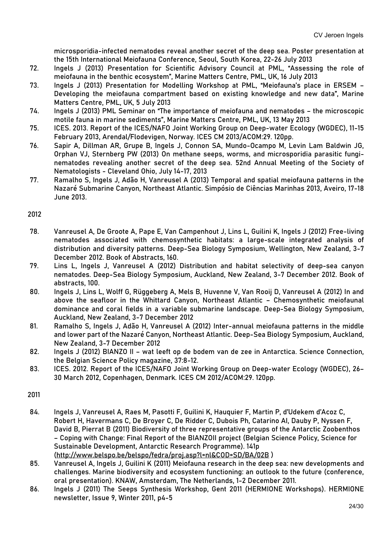microsporidia-infected nematodes reveal another secret of the deep sea. Poster presentation at the 15th International Meiofauna Conference, Seoul, South Korea, 22-26 July 2013

- 72. Ingels J (2013) Presentation for Scientific Advisory Council at PML, "Assessing the role of meiofauna in the benthic ecosystem", Marine Matters Centre, PML, UK, 16 July 2013
- 73. Ingels J (2013) Presentation for Modelling Workshop at PML, "Meiofauna's place in ERSEM Developing the meiofauna compartment based on existing knowledge and new data", Marine Matters Centre, PML, UK, 5 July 2013
- 74. Ingels J (2013) PML Seminar on "The importance of meiofauna and nematodes the microscopic motile fauna in marine sediments", Marine Matters Centre, PML, UK, 13 May 2013
- 75. ICES. 2013. Report of the ICES/NAFO Joint Working Group on Deep-water Ecology (WGDEC), 11-15 February 2013, Arendal/Flodevigen, Norway. ICES CM 2013/ACOM:29. 120pp.
- 76. Sapir A, Dillman AR, Grupe B, Ingels J, Connon SA, Mundo-Ocampo M, Levin Lam Baldwin JG, Orphan VJ, Sternberg PW (2013) On methane seeps, worms, and microsporidia parasitic funginematodes revealing another secret of the deep sea. 52nd Annual Meeting of the Society of Nematologists - Cleveland Ohio, July 14-17, 2013
- 77. Ramalho S, Ingels J, Adão H, Vanreusel A (2013) Temporal and spatial meiofauna patterns in the Nazaré Submarine Canyon, Northeast Atlantic. Simpósio de Ciências Marinhas 2013, Aveiro, 17-18 June 2013.

#### 2012

- 78. Vanreusel A, De Groote A, Pape E, Van Campenhout J, Lins L, Guilini K, Ingels J (2012) Free-living nematodes associated with chemosynthetic habitats: a large-scale integrated analysis of distribution and diversity patterns. Deep-Sea Biology Symposium, Wellington, New Zealand, 3-7 December 2012. Book of Abstracts, 160.
- 79. Lins L, Ingels J, Vanreusel A (2012) Distribution and habitat selectivity of deep-sea canyon nematodes. Deep-Sea Biology Symposium, Auckland, New Zealand, 3-7 December 2012. Book of abstracts, 100.
- 80. Ingels J, Lins L, Wolff G, Rüggeberg A, Mels B, Huvenne V, Van Rooij D, Vanreusel A (2012) In and above the seafloor in the Whittard Canyon, Northeast Atlantic – Chemosynthetic meiofaunal dominance and coral fields in a variable submarine landscape. Deep-Sea Biology Symposium, Auckland, New Zealand, 3-7 December 2012
- 81. Ramalho S, Ingels J, Adão H, Vanreusel A (2012) Inter-annual meiofauna patterns in the middle and lower part of the Nazaré Canyon, Northeast Atlantic. Deep-Sea Biology Symposium, Auckland, New Zealand, 3-7 December 2012
- 82. Ingels J (2012) BIANZO II wat leeft op de bodem van de zee in Antarctica. Science Connection, the Belgian Science Policy magazine, 37:8-12.
- 83. ICES. 2012. Report of the ICES/NAFO Joint Working Group on Deep-water Ecology (WGDEC), 26– 30 March 2012, Copenhagen, Denmark. ICES CM 2012/ACOM:29. 120pp.

- 84. Ingels J, Vanreusel A, Raes M, Pasotti F, Guilini K, Hauquier F, Martin P, d'Udekem d'Acoz C, Robert H, Havermans C, De Broyer C, De Ridder C, Dubois Ph, Catarino AI, Dauby P, Nyssen F, David B, Pierrat B (2011) Biodiversity of three representative groups of the Antarctic Zoobenthos – Coping with Change: Final Report of the BIANZOII project (Belgian Science Policy, Science for Sustainable Development, Antarctic Research Programme). 141p [\(http://www.belspo.be/belspo/fedra/proj.asp?l=nl&COD=SD/BA/02B](http://www.belspo.be/belspo/fedra/proj.asp?l=nl&COD=SD/BA/02B) )
- 85. Vanreusel A, Ingels J, Guilini K (2011) Meiofauna research in the deep sea: new developments and challenges. Marine biodiversity and ecosystem functioning: an outlook to the future (conference, oral presentation). KNAW, Amsterdam, The Netherlands, 1-2 December 2011.
- 86. Ingels J (2011) The Seeps Synthesis Workshop, Gent 2011 (HERMIONE Workshops). HERMIONE newsletter, Issue 9, Winter 2011, p4-5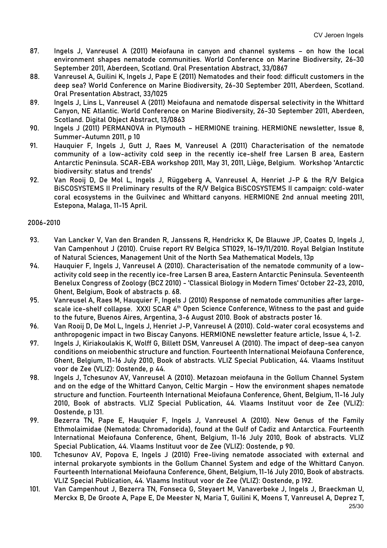- 87. Ingels J, Vanreusel A (2011) Meiofauna in canyon and channel systems on how the local environment shapes nematode communities. World Conference on Marine Biodiversity, 26-30 September 2011, Aberdeen, Scotland. Oral Presentation Abstract, 33/0867
- 88. Vanreusel A, Guilini K, Ingels J, Pape E (2011) Nematodes and their food: difficult customers in the deep sea? World Conference on Marine Biodiversity, 26-30 September 2011, Aberdeen, Scotland. Oral Presentation Abstract, 33/1025
- 89. Ingels J, Lins L, Vanreusel A (2011) Meiofauna and nematode dispersal selectivity in the Whittard Canyon, NE Atlantic. World Conference on Marine Biodiversity, 26-30 September 2011, Aberdeen, Scotland. Digital Object Abstract, 13/0863
- 90. Ingels J (2011) PERMANOVA in Plymouth HERMIONE training. HERMIONE newsletter, Issue 8, Summer-Autumn 2011, p 10
- 91. Hauquier F, Ingels J, Gutt J, Raes M, Vanreusel A (2011) Characterisation of the nematode community of a low-activity cold seep in the recently ice-shelf free Larsen B area, Eastern Antarctic Peninsula. SCAR-EBA workshop 2011, May 31, 2011, Liège, Belgium. Workshop 'Antarctic biodiversity: status and trends'
- 92. Van Rooij D, De Mol L, Ingels J, Rüggeberg A, Vanreusel A, Henriet J-P & the R/V Belgica BiSCOSYSTEMS II Preliminary results of the R/V Belgica BiSCOSYSTEMS II campaign: cold-water coral ecosystems in the Guilvinec and Whittard canyons. HERMIONE 2nd annual meeting 2011, Estepona, Malaga, 11-15 April.

# 2006-2010

- 93. Van Lancker V, Van den Branden R, Janssens R, Hendrickx K, De Blauwe JP, Coates D, Ingels J, Van Campenhout J (2010). Cruise report RV Belgica ST1029, 16-19/11/2010. Royal Belgian Institute of Natural Sciences, Management Unit of the North Sea Mathematical Models, 13p
- 94. Hauquier F, Ingels J, Vanreusel A (2010). Characterisation of the nematode community of a lowactivity cold seep in the recently ice-free Larsen B area, Eastern Antarctic Peninsula. Seventeenth Benelux Congress of Zoology (BCZ 2010) - 'Classical Biology in Modern Times' October 22-23, 2010, Ghent, Belgium, Book of abstracts p. 68.
- 95. Vanreusel A, Raes M, Hauquier F, Ingels J (2010) Response of nematode communities after largescale ice-shelf collapse. XXXI SCAR 4<sup>th</sup> Open Science Conference, Witness to the past and guide to the future, Buenos Aires, Argentina, 3-6 August 2010. Book of abstracts poster 16.
- 96. Van Rooij D, De Mol L, Ingels J, Henriet J-P, Vanreusel A (2010). Cold-water coral ecosystems and anthropogenic impact in two Biscay Canyons. HERMIONE newsletter feature article, Issue 4, 1-2.
- 97. Ingels J, Kiriakoulakis K, Wolff G, Billett DSM, Vanreusel A (2010). The impact of deep-sea canyon conditions on meiobenthic structure and function. Fourteenth International Meiofauna Conference, Ghent, Belgium, 11-16 July 2010, Book of abstracts. VLIZ Special Publication, 44. Vlaams Instituut voor de Zee (VLIZ): Oostende, p 44.
- 98. Ingels J, Tchesunov AV, Vanreusel A (2010). Metazoan meiofauna in the Gollum Channel System and on the edge of the Whittard Canyon, Celtic Margin – How the environment shapes nematode structure and function. Fourteenth International Meiofauna Conference, Ghent, Belgium, 11-16 July 2010, Book of abstracts. VLIZ Special Publication, 44. Vlaams Instituut voor de Zee (VLIZ): Oostende, p 131.
- 99. Bezerra TN, Pape E, Hauquier F, Ingels J, Vanreusel A (2010). New Genus of the Family Ethmolaimidae (Nematoda: Chromadorida), found at the Gulf of Cadiz and Antarctica. Fourteenth International Meiofauna Conference, Ghent, Belgium, 11-16 July 2010, Book of abstracts. VLIZ Special Publication, 44. Vlaams Instituut voor de Zee (VLIZ): Oostende, p 90.
- 100. Tchesunov AV, Popova E, Ingels J (2010) Free-living nematode associated with external and internal prokaryote symbionts in the Gollum Channel System and edge of the Whittard Canyon. Fourteenth International Meiofauna Conference, Ghent, Belgium, 11-16 July 2010, Book of abstracts. VLIZ Special Publication, 44. Vlaams Instituut voor de Zee (VLIZ): Oostende, p 192.
- 101. Van Campenhout J, Bezerra TN, Fonseca G, Steyaert M, Vanaverbeke J, Ingels J, Braeckman U, Merckx B, De Groote A, Pape E, De Meester N, Maria T, Guilini K, Moens T, Vanreusel A, Deprez T,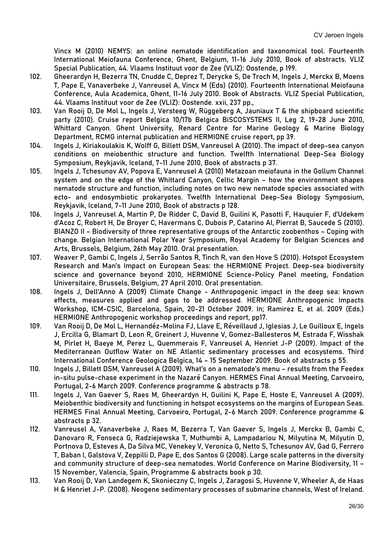Vincx M (2010) NEMYS: an online nematode identification and taxonomical tool. Fourteenth International Meiofauna Conference, Ghent, Belgium, 11-16 July 2010, Book of abstracts. VLIZ Special Publication, 44. Vlaams Instituut voor de Zee (VLIZ): Oostende, p 199.

- 102. Gheerardyn H, Bezerra TN, Cnudde C, Deprez T, Derycke S, De Troch M, Ingels J, Merckx B, Moens T, Pape E, Vanaverbeke J, Vanreusel A, Vincx M (Eds) (2010). Fourteenth International Meiofauna Conference, Aula Academica, Ghent, 11-16 July 2010. Book of Abstracts. VLIZ Special Publication, 44. Vlaams Instituut voor de Zee (VLIZ): Oostende. xxii, 237 pp.,
- 103. Van Rooij D, De Mol L, Ingels J, Versteeg W, Rüggeberg A, Jauniaux T & the shipboard scientific party (2010). Cruise report Belgica 10/17b Belgica BiSCOSYSTEMS II, Leg 2, 19-28 June 2010, Whittard Canyon. Ghent University, Renard Centre for Marine Geology & Marine Biology Department, RCMG internal publication and HERMIONE cruise report, pp 39.
- 104. Ingels J, Kiriakoulakis K, Wolff G, Billett DSM, Vanreusel A (2010). The impact of deep-sea canyon conditions on meiobenthic structure and function. Twelfth International Deep-Sea Biology Symposium, Reykjavik, Iceland, 7-11 June 2010, Book of abstracts p 37.
- 105. Ingels J, Tchesunov AV, Popova E, Vanreusel A (2010) Metazoan meiofauna in the Gollum Channel system and on the edge of the Whittard Canyon, Celtic Margin – how the environment shapes nematode structure and function, including notes on two new nematode species associated with ecto- and endosymbiotic prokaryotes. Twelfth International Deep-Sea Biology Symposium, Reykjavik, Iceland, 7-11 June 2010, Book of abstracts p 128.
- 106. Ingels J, Vanreusel A, Martin P, De Ridder C, David B, Guilini K, Pasotti F, Hauquier F, d'Udekem d'Acoz C, Robert H, De Broyer C, Havermans C, Dubois P, Catarino AI, Pierrat B, Saucede S (2010). BIANZO II – Biodiversity of three representative groups of the Antarctic zoobenthos – Coping with change. Belgian International Polar Year Symposium, Royal Academy for Belgian Sciences and Arts, Brussels, Belgium, 26th May 2010. Oral presentation.
- 107. Weaver P, Gambi C, Ingels J, Serrão Santos R, Tinch R, van den Hove S (2010). Hotspot Ecosystem Research and Man's Impact on European Seas: the HERMIONE Project. Deep-sea biodiversity science and governance beyond 2010, HERMIONE Science-Policy Panel meeting, Fondation Universitaire, Brussels, Belgium, 27 April 2010. Oral presentation.
- 108. Ingels J, Dell'Anno A (2009) Climate Change Anthropogenic impact in the deep sea: known effects, measures applied and gaps to be addressed. HERMIONE Anthropogenic Impacts Workshop, ICM-CSIC, Barcelona, Spain, 20-21 October 2009. In; Ramirez E, et al. 2009 (Eds.) [HERMIONE Anthropogenic workshop proceedings and report,](http://www.eu-hermione.net/partners/meeting-minutes/ai-workshop) pp17.
- 109. Van Rooij D, De Mol L, Hernandéz-Molina FJ, Llave E, Réveillaud J, Iglesias J, Le Guilloux E, Ingels J, Ercilla G, Blamart D, Leon R, Greinert J, Huvenne V, Gomez-Ballesteros M, Estrada F, Wisshak M, Pirlet H, Baeye M, Perez L, Quemmerais F, Vanreusel A, Henriet J-P (2009). Impact of the Mediterranean Outflow Water on NE Atlantic sedimentary processes and ecosystems. Third International Conference Geologica Belgica, 14 – 15 September 2009. Book of abstracts p 55.
- 110. Ingels J, Billett DSM, Vanreusel A (2009). What's on a nematode's menu results from the Feedex in-situ pulse-chase experiment in the Nazaré Canyon. HERMES Final Annual Meeting, Carvoeiro, Portugal, 2-6 March 2009. Conference programme & abstracts p 78.
- 111. Ingels J, Van Gaever S, Raes M, Gheerardyn H, Guilini K, Pape E, Hoste E, Vanreusel A (2009). Meiobenthic biodiversity and functioning in hotspot ecosystems on the margins of European Seas. HERMES Final Annual Meeting, Carvoeiro, Portugal, 2-6 March 2009. Conference programme & abstracts p 32.
- 112. Vanreusel A, Vanaverbeke J, Raes M, Bezerra T, Van Gaever S, Ingels J, Merckx B, Gambi C, Danovaro R, Fonseca G, Radziejewska T, Muthumbi A, Lampadariou N, Milyutina M, Milyutin D, Portnova D, Esteves A, Da Silva MC, Venekey V, Veronica G, Netto S, Tchesunov AV, Gad G, Ferrero T, Baban I, Galstova V, Zeppilli D, Pape E, dos Santos G (2008). Large scale patterns in the diversity and community structure of deep-sea nematodes. World Conference on Marine Biodiversity, 11 – 15 November, Valencia, Spain, Programme & abstracts book p 30.
- 113. Van Rooij D, Van Landegem K, Skonieczny C, Ingels J, Zaragosi S, Huvenne V, Wheeler A, de Haas H & Henriet J-P. (2008). Neogene sedimentary processes of submarine channels, West of Ireland.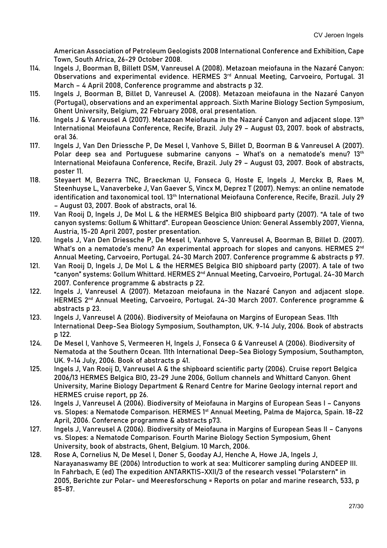American Association of Petroleum Geologists 2008 International Conference and Exhibition, Cape Town, South Africa, 26-29 October 2008.

- 114. Ingels J, Boorman B, Billett DSM, Vanreusel A (2008). Metazoan meiofauna in the Nazaré Canyon: Observations and experimental evidence. HERMES 3rd Annual Meeting, Carvoeiro, Portugal. 31 March – 4 April 2008, Conference programme and abstracts p 32.
- 115. Ingels J, Boorman B, Billet D, Vanreusel A. (2008). Metazoan meiofauna in the Nazaré Canyon (Portugal), observations and an experimental approach. Sixth Marine Biology Section Symposium, Ghent University, Belgium, 22 February 2008, oral presentation.
- 116. Ingels J & Vanreusel A (2007). Metazoan Meiofauna in the Nazaré Canyon and adjacent slope. 13th International Meiofauna Conference, Recife, Brazil. July 29 – August 03, 2007. book of abstracts, oral 36.
- 117. Ingels J, Van Den Driessche P, De Mesel I, Vanhove S, Billet D, Boorman B & Vanreusel A (2007). Polar deep sea and Portuguese submarine canyons - What's on a nematode's menu? 13<sup>th</sup> International Meiofauna Conference, Recife, Brazil. July 29 – August 03, 2007. Book of abstracts, poster 11.
- 118. Steyaert M, Bezerra TNC, Braeckman U, Fonseca G, Hoste E, Ingels J, Merckx B, Raes M, Steenhuyse L, Vanaverbeke J, Van Gaever S, Vincx M, Deprez T (2007). Nemys: an online nematode identification and taxonomical tool. 13th International Meiofauna Conference, Recife, Brazil. July 29 – August 03, 2007. Book of abstracts, oral 16.
- 119. Van Rooij D, Ingels J, De Mol L & the HERMES Belgica BIO shipboard party (2007). "A tale of two canyon systems: Gollum & Whittard". European Geoscience Union: General Assembly 2007, Vienna, Austria, 15-20 April 2007, poster presentation.
- 120. Ingels J, Van Den Driessche P, De Mesel I, Vanhove S, Vanreusel A, Boorman B, Billet D. (2007). What's on a nematode's menu? An experimental approach for slopes and canvons. HERMES 2<sup>nd</sup> Annual Meeting, Carvoeiro, Portugal. 24-30 March 2007. Conference programme & abstracts p 97.
- 121. Van Rooij D, Ingels J, De Mol L & the HERMES Belgica BIO shipboard party (2007). A tale of two "canyon" systems: Gollum Whittard. HERMES 2nd Annual Meeting, Carvoeiro, Portugal. 24-30 March 2007. Conference programme & abstracts p 22.
- 122. Ingels J, Vanreusel A (2007). Metazoan meiofauna in the Nazaré Canyon and adjacent slope. HERMES 2<sup>nd</sup> Annual Meeting, Carvoeiro, Portugal. 24-30 March 2007. Conference programme & abstracts p 23.
- 123. Ingels J, Vanreusel A (2006). Biodiversity of Meiofauna on Margins of European Seas. 11th International Deep-Sea Biology Symposium, Southampton, UK. 9-14 July, 2006. Book of abstracts p 122.
- 124. De Mesel I, Vanhove S, Vermeeren H, Ingels J, Fonseca G & Vanreusel A (2006). Biodiversity of Nematoda at the Southern Ocean. 11th International Deep-Sea Biology Symposium, Southampton, UK. 9-14 July, 2006. Book of abstracts p 41.
- 125. Ingels J, Van Rooij D, Vanreusel A & the shipboard scientific party (2006). Cruise report Belgica 2006/13 HERMES Belgica BIO, 23-29 June 2006, Gollum channels and Whittard Canyon. Ghent University, Marine Biology Department & Renard Centre for Marine Geology internal report and HERMES cruise report, pp 26.
- 126. Ingels J, Vanreusel A (2006). Biodiversity of Meiofauna in Margins of European Seas I Canyons vs. Slopes: a Nematode Comparison. HERMES 1<sup>st</sup> Annual Meeting, Palma de Majorca, Spain. 18-22 April, 2006. Conference programme & abstracts p73.
- 127. Ingels J, Vanreusel A (2006). Biodiversity of Meiofauna in Margins of European Seas II Canyons vs. Slopes: a Nematode Comparison. Fourth Marine Biology Section Symposium, Ghent University, book of abstracts, Ghent, Belgium. 10 March, 2006.
- 128. Rose A, Cornelius N, De Mesel I, Doner S, Gooday AJ, Henche A, Howe JA, Ingels J, Narayanaswamy BE (2006) Introduction to work at sea: Multicorer sampling during ANDEEP III. In Fahrbach, E (ed) The expedition ANTARKTIS-XXII/3 of the research vessel "Polarstern" in 2005, Berichte zur Polar- und Meeresforschung = Reports on polar and marine research, 533, p 85-87.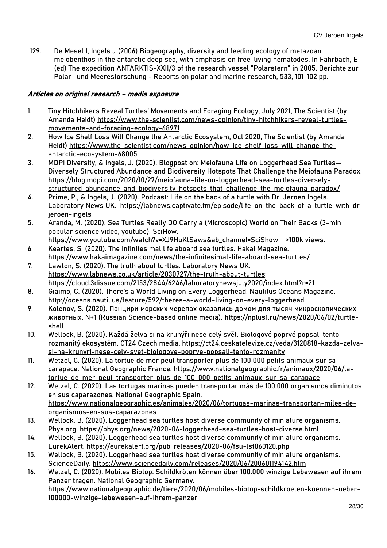129. De Mesel I, Ingels J (2006) Biogeography, diversity and feeding ecology of metazoan meiobenthos in the antarctic deep sea, with emphasis on free-living nematodes. In Fahrbach, E (ed) The expedition ANTARKTIS-XXII/3 of the research vessel "Polarstern" in 2005, Berichte zur Polar- und Meeresforschung = Reports on polar and marine research, 533, 101-102 pp.

# Articles on original research – media exposure

- 1. Tiny Hitchhikers Reveal Turtles' Movements and Foraging Ecology, July 2021, The Scientist (by Amanda Heidt) [https://www.the-scientist.com/news-opinion/tiny-hitchhikers-reveal-turtles](https://www.the-scientist.com/news-opinion/tiny-hitchhikers-reveal-turtles-movements-and-foraging-ecology-68971)[movements-and-foraging-ecology-68971](https://www.the-scientist.com/news-opinion/tiny-hitchhikers-reveal-turtles-movements-and-foraging-ecology-68971)
- 2. How Ice Shelf Loss Will Change the Antarctic Ecosystem, Oct 2020, The Scientist (by Amanda Heidt) [https://www.the-scientist.com/news-opinion/how-ice-shelf-loss-will-change-the](https://www.the-scientist.com/news-opinion/how-ice-shelf-loss-will-change-the-antarctic-ecosystem-68005)[antarctic-ecosystem-68005](https://www.the-scientist.com/news-opinion/how-ice-shelf-loss-will-change-the-antarctic-ecosystem-68005)
- 3. MDPI Diversity, & Ingels, J. (2020). Blogpost on: Meiofauna Life on Loggerhead Sea Turtles— Diversely Structured Abundance and Biodiversity Hotspots That Challenge the Meiofauna Paradox. [https://blog.mdpi.com/2020/10/27/meiofauna-life-on-loggerhead-sea-turtles-diversely](https://blog.mdpi.com/2020/10/27/meiofauna-life-on-loggerhead-sea-turtles-diversely-structured-abundance-and-biodiversity-hotspots-that-challenge-the-meiofauna-paradox/)[structured-abundance-and-biodiversity-hotspots-that-challenge-the-meiofauna-paradox/](https://blog.mdpi.com/2020/10/27/meiofauna-life-on-loggerhead-sea-turtles-diversely-structured-abundance-and-biodiversity-hotspots-that-challenge-the-meiofauna-paradox/)
- 4. Prime, P., & Ingels, J. (2020). Podcast: Life on the back of a turtle with Dr. Jeroen Ingels. Laboratory News UK. [https://labnews.captivate.fm/episode/life-on-the-back-of-a-turtle-with-dr](https://labnews.captivate.fm/episode/life-on-the-back-of-a-turtle-with-dr-jeroen-ingels)[jeroen-ingels](https://labnews.captivate.fm/episode/life-on-the-back-of-a-turtle-with-dr-jeroen-ingels)
- 5. Aranda, M. (2020). Sea Turtles Really DO Carry a (Microscopic) World on Their Backs (3-min popular science video, youtube). SciHow.
- [https://www.youtube.com/watch?v=XJ9HuKtSaws&ab\\_channel=SciShow](https://www.youtube.com/watch?v=XJ9HuKtSaws&ab_channel=SciShow) >100k views. 6. Keartes, S. (2020). The infinitesimal life aboard sea turtles. Hakai Magazine.
- <https://www.hakaimagazine.com/news/the-infinitesimal-life-aboard-sea-turtles/> 7. Lawton, S. (2020). The truth about turtles. Laboratory News UK.
- [https://www.labnews.co.uk/article/2030727/the-truth-about-turtles;](https://www.labnews.co.uk/article/2030727/the-truth-about-turtles) <https://cloud.3dissue.com/2153/2844/6246/laboratorynewsjuly2020/index.html?r=21>
- 8. Giaimo, C. (2020). There's a World Living on Every Loggerhead. Nautilus Oceans Magazine. <http://oceans.nautil.us/feature/592/theres-a-world-living-on-every-loggerhead>
- 9. Kolenov, S. (2020). Панцири морских черепах оказались домом для тысяч микроскопических животных. N+1 (Russian Science-based online media). [https://nplus1.ru/news/2020/06/02/turtle](https://nplus1.ru/news/2020/06/02/turtle-shell)[shell](https://nplus1.ru/news/2020/06/02/turtle-shell)
- 10. Wellock, B. (2020). Každá želva si na krunýři nese celý svět. Biologové poprvé popsali tento rozmanitý ekosystém. CT24 Czech media. [https://ct24.ceskatelevize.cz/veda/3120818-kazda-zelva](https://ct24.ceskatelevize.cz/veda/3120818-kazda-zelva-si-na-krunyri-nese-cely-svet-biologove-poprve-popsali-tento-rozmanity)[si-na-krunyri-nese-cely-svet-biologove-poprve-popsali-tento-rozmanity](https://ct24.ceskatelevize.cz/veda/3120818-kazda-zelva-si-na-krunyri-nese-cely-svet-biologove-poprve-popsali-tento-rozmanity)
- 11. Wetzel, C. (2020). La tortue de mer peut transporter plus de 100 000 petits animaux sur sa carapace. National Geographic France. [https://www.nationalgeographic.fr/animaux/2020/06/la](https://www.nationalgeographic.fr/animaux/2020/06/la-tortue-de-mer-peut-transporter-plus-de-100-000-petits-animaux-sur-sa-carapace)[tortue-de-mer-peut-transporter-plus-de-100-000-petits-animaux-sur-sa-carapace](https://www.nationalgeographic.fr/animaux/2020/06/la-tortue-de-mer-peut-transporter-plus-de-100-000-petits-animaux-sur-sa-carapace)
- 12. Wetzel, C. (2020). Las tortugas marinas pueden transportar más de 100.000 organismos diminutos en sus caparazones. National Geographic Spain. [https://www.nationalgeographic.es/animales/2020/06/tortugas-marinas-transportan-miles-de](https://www.nationalgeographic.es/animales/2020/06/tortugas-marinas-transportan-miles-de-organismos-en-sus-caparazones)[organismos-en-sus-caparazones](https://www.nationalgeographic.es/animales/2020/06/tortugas-marinas-transportan-miles-de-organismos-en-sus-caparazones)
- 13. Wellock, B. (2020). Loggerhead sea turtles host diverse community of miniature organisms. Phys.org.<https://phys.org/news/2020-06-loggerhead-sea-turtles-host-diverse.html>
- 14. Wellock, B. (2020). Loggerhead sea turtles host diverse community of miniature organisms. EurekAlert. [https://eurekalert.org/pub\\_releases/2020-06/fsu-lst060120.php](https://eurekalert.org/pub_releases/2020-06/fsu-lst060120.php)
- 15. Wellock, B. (2020). Loggerhead sea turtles host diverse community of miniature organisms. ScienceDaily.<https://www.sciencedaily.com/releases/2020/06/200601194142.htm>
- 16. Wetzel, C. (2020). Mobiles Biotop: Schildkröten können über 100.000 winzige Lebewesen auf ihrem Panzer tragen. National Geographic Germany. [https://www.nationalgeographic.de/tiere/2020/06/mobiles-biotop-schildkroeten-koennen-ueber-](https://www.nationalgeographic.de/tiere/2020/06/mobiles-biotop-schildkroeten-koennen-ueber-100000-winzige-lebewesen-auf-ihrem-panzer)[100000-winzige-lebewesen-auf-ihrem-panzer](https://www.nationalgeographic.de/tiere/2020/06/mobiles-biotop-schildkroeten-koennen-ueber-100000-winzige-lebewesen-auf-ihrem-panzer)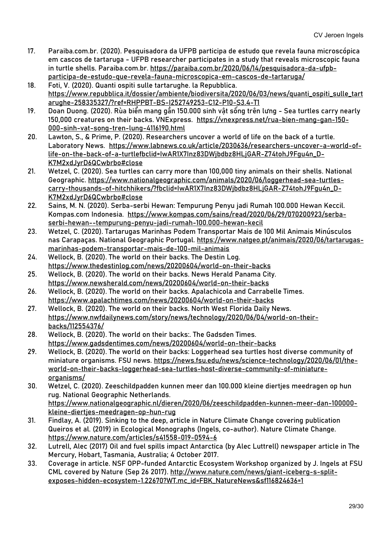- 17. Paraiba.com.br. (2020). Pesquisadora da UFPB participa de estudo que revela fauna microscópica em cascos de tartaruga - UFPB researcher participates in a study that reveals microscopic fauna in turtle shells. Paraiba.com.br. [https://paraiba.com.br/2020/06/14/pesquisadora-da-ufpb](https://paraiba.com.br/2020/06/14/pesquisadora-da-ufpb-participa-de-estudo-que-revela-fauna-microscopica-em-cascos-de-tartaruga/)[participa-de-estudo-que-revela-fauna-microscopica-em-cascos-de-tartaruga/](https://paraiba.com.br/2020/06/14/pesquisadora-da-ufpb-participa-de-estudo-que-revela-fauna-microscopica-em-cascos-de-tartaruga/)
- 18. Foti, V. (2020). Quanti ospiti sulle tartarughe. la Repubblica. [https://www.repubblica.it/dossier/ambiente/biodiversita/2020/06/03/news/quanti\\_ospiti\\_sulle\\_tart](https://www.repubblica.it/dossier/ambiente/biodiversita/2020/06/03/news/quanti_ospiti_sulle_tartarughe-258335327/?ref=RHPPBT-BS-I252749253-C12-P10-S3.4-T1) [arughe-258335327/?ref=RHPPBT-BS-I252749253-C12-P10-S3.4-T1](https://www.repubblica.it/dossier/ambiente/biodiversita/2020/06/03/news/quanti_ospiti_sulle_tartarughe-258335327/?ref=RHPPBT-BS-I252749253-C12-P10-S3.4-T1)
- 19. Doan Duong. (2020). Rùa biển mang gần 150.000 sinh vật sống trên lưng Sea turtles carry nearly 150,000 creatures on their backs. VNExpress. [https://vnexpress.net/rua-bien-mang-gan-150-](https://vnexpress.net/rua-bien-mang-gan-150-000-sinh-vat-song-tren-lung-4116190.html) [000-sinh-vat-song-tren-lung-4116190.html](https://vnexpress.net/rua-bien-mang-gan-150-000-sinh-vat-song-tren-lung-4116190.html)
- 20. Lawton, S., & Prime, P. (2020). Researchers uncover a world of life on the back of a turtle. Laboratory News. [https://www.labnews.co.uk/article/2030636/researchers-uncover-a-world-of](https://www.labnews.co.uk/article/2030636/researchers-uncover-a-world-of-life-on-the-back-of-a-turtlefbclid=IwAR1X7Inz83DWjbdbz8HLjGAR-Z74tohJ9Fgu4n_D-K7M2xdJyrD6QCwbrbo#close)[life-on-the-back-of-a-turtlefbclid=IwAR1X7Inz83DWjbdbz8HLjGAR-Z74tohJ9Fgu4n\\_D-](https://www.labnews.co.uk/article/2030636/researchers-uncover-a-world-of-life-on-the-back-of-a-turtlefbclid=IwAR1X7Inz83DWjbdbz8HLjGAR-Z74tohJ9Fgu4n_D-K7M2xdJyrD6QCwbrbo#close)[K7M2xdJyrD6QCwbrbo#close](https://www.labnews.co.uk/article/2030636/researchers-uncover-a-world-of-life-on-the-back-of-a-turtlefbclid=IwAR1X7Inz83DWjbdbz8HLjGAR-Z74tohJ9Fgu4n_D-K7M2xdJyrD6QCwbrbo#close)
- 21. Wetzel, C. (2020). Sea turtles can carry more than 100,000 tiny animals on their shells. National Geographic. [https://www.nationalgeographic.com/animals/2020/06/loggerhead-sea-turtles](https://www.nationalgeographic.com/animals/2020/06/loggerhead-sea-turtles-carry-thousands-of-hitchhikers/?fbclid=IwAR1X7Inz83DWjbdbz8HLjGAR-Z74tohJ9Fgu4n_D-K7M2xdJyrD6QCwbrbo#close)[carry-thousands-of-hitchhikers/?fbclid=IwAR1X7Inz83DWjbdbz8HLjGAR-Z74tohJ9Fgu4n\\_D-](https://www.nationalgeographic.com/animals/2020/06/loggerhead-sea-turtles-carry-thousands-of-hitchhikers/?fbclid=IwAR1X7Inz83DWjbdbz8HLjGAR-Z74tohJ9Fgu4n_D-K7M2xdJyrD6QCwbrbo#close)[K7M2xdJyrD6QCwbrbo#close](https://www.nationalgeographic.com/animals/2020/06/loggerhead-sea-turtles-carry-thousands-of-hitchhikers/?fbclid=IwAR1X7Inz83DWjbdbz8HLjGAR-Z74tohJ9Fgu4n_D-K7M2xdJyrD6QCwbrbo#close)
- 22. Sains, M. N. (2020). Serba-serbi Hewan: Tempurung Penyu jadi Rumah 100.000 Hewan Keccil. Kompas.com Indonesia. [https://www.kompas.com/sains/read/2020/06/29/070200923/serba](https://www.kompas.com/sains/read/2020/06/29/070200923/serba-serbi-hewan--tempurung-penyu-jadi-rumah-100.000-hewan-kecil)[serbi-hewan--tempurung-penyu-jadi-rumah-100.000-hewan-kecil](https://www.kompas.com/sains/read/2020/06/29/070200923/serba-serbi-hewan--tempurung-penyu-jadi-rumah-100.000-hewan-kecil)
- 23. Wetzel, C. (2020). Tartarugas Marinhas Podem Transportar Mais de 100 Mil Animais Minúsculos nas Carapaças. National Geographic Portugal[. https://www.natgeo.pt/animais/2020/06/tartarugas](https://www.natgeo.pt/animais/2020/06/tartarugas-marinhas-podem-transportar-mais-de-100-mil-animais)[marinhas-podem-transportar-mais-de-100-mil-animais](https://www.natgeo.pt/animais/2020/06/tartarugas-marinhas-podem-transportar-mais-de-100-mil-animais)
- 24. Wellock, B. (2020). The world on their backs. The Destin Log. <https://www.thedestinlog.com/news/20200604/world-on-their-backs>
- 25. Wellock, B. (2020). The world on their backs. News Herald Panama City. <https://www.newsherald.com/news/20200604/world-on-their-backs>
- 26. Wellock, B. (2020). The world on their backs. Apalachicola and Carrabelle Times. <https://www.apalachtimes.com/news/20200604/world-on-their-backs>
- 27. Wellock, B. (2020). The world on their backs. North West Florida Daily News. [https://www.nwfdailynews.com/story/news/technology/2020/06/04/world-on-their](https://www.nwfdailynews.com/story/news/technology/2020/06/04/world-on-their-backs/112554376/)[backs/112554376/](https://www.nwfdailynews.com/story/news/technology/2020/06/04/world-on-their-backs/112554376/)
- 28. Wellock, B. (2020). The world on their backs:. The Gadsden Times. <https://www.gadsdentimes.com/news/20200604/world-on-their-backs>
- 29. Wellock, B. (2020). The world on their backs: Loggerhead sea turtles host diverse community of miniature organisms. FSU news. [https://news.fsu.edu/news/science-technology/2020/06/01/the](https://news.fsu.edu/news/science-technology/2020/06/01/the-world-on-their-backs-loggerhead-sea-turtles-host-diverse-community-of-miniature-organisms/)[world-on-their-backs-loggerhead-sea-turtles-host-diverse-community-of-miniature](https://news.fsu.edu/news/science-technology/2020/06/01/the-world-on-their-backs-loggerhead-sea-turtles-host-diverse-community-of-miniature-organisms/)[organisms/](https://news.fsu.edu/news/science-technology/2020/06/01/the-world-on-their-backs-loggerhead-sea-turtles-host-diverse-community-of-miniature-organisms/)
- 30. Wetzel, C. (2020). Zeeschildpadden kunnen meer dan 100.000 kleine diertjes meedragen op hun rug. National Geographic Netherlands. [https://www.nationalgeographic.nl/dieren/2020/06/zeeschildpadden-kunnen-meer-dan-100000](https://www.nationalgeographic.nl/dieren/2020/06/zeeschildpadden-kunnen-meer-dan-100000-kleine-diertjes-meedragen-op-hun-rug) [kleine-diertjes-meedragen-op-hun-rug](https://www.nationalgeographic.nl/dieren/2020/06/zeeschildpadden-kunnen-meer-dan-100000-kleine-diertjes-meedragen-op-hun-rug)
- 31. Findlay, A. (2019). Sinking to the deep, article in Nature Climate Change covering publication Queiros et al. (2019) in Ecological Monographs (Ingels, co-author). Nature Climate Change. <https://www.nature.com/articles/s41558-019-0594-6>
- 32. Lutrell, Alec (2017) Oil and fuel spills impact Antarctica (by Alec Luttrell) newspaper article in The Mercury, Hobart, Tasmania, Australia; 4 October 2017.
- 33. Coverage in article. NSF OPP-funded Antarctic Ecosystem Workshop organized by J. Ingels at FSU CML covered by Nature (Sep 26 2017). [http://www.nature.com/news/giant-iceberg-s-split](http://www.nature.com/news/giant-iceberg-s-split-exposes-hidden-ecosystem-1.22670?WT.mc_id=FBK_NatureNews&sf116824636=1)[exposes-hidden-ecosystem-1.22670?WT.mc\\_id=FBK\\_NatureNews&sf116824636=1](http://www.nature.com/news/giant-iceberg-s-split-exposes-hidden-ecosystem-1.22670?WT.mc_id=FBK_NatureNews&sf116824636=1)